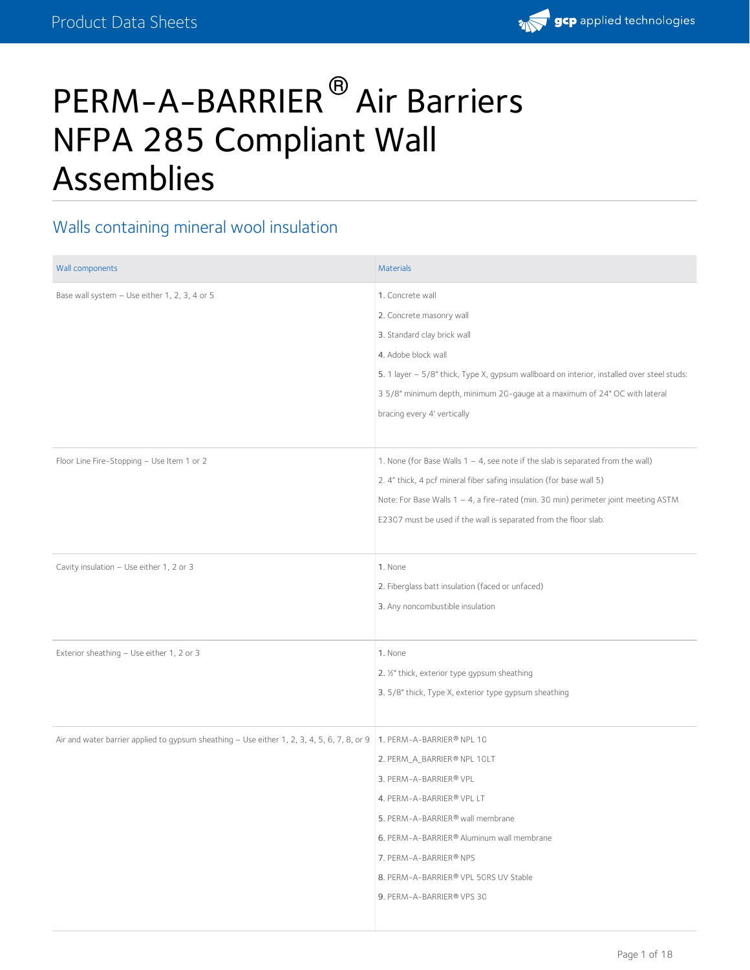

# PERM-A-BARRIER<sup>®</sup> Air Barriers NFPA 285 Compliant Wall Assemblies

#### Walls containing mineral wool insulation

| Wall components                                                                             | <b>Materials</b>                                                                           |
|---------------------------------------------------------------------------------------------|--------------------------------------------------------------------------------------------|
| Base wall system - Use either 1, 2, 3, 4 or 5                                               | 1. Concrete wall                                                                           |
|                                                                                             | 2. Concrete masonry wall                                                                   |
|                                                                                             | 3. Standard clay brick wall                                                                |
|                                                                                             | 4. Adobe block wall                                                                        |
|                                                                                             | 5. 1 layer - 5/8" thick, Type X, gypsum wallboard on interior, installed over steel studs: |
|                                                                                             | 3 5/8" minimum depth, minimum 20-gauge at a maximum of 24" OC with lateral                 |
|                                                                                             | bracing every 4' vertically                                                                |
|                                                                                             |                                                                                            |
| Floor Line Fire-Stopping - Use Item 1 or 2                                                  | 1. None (for Base Walls 1 - 4, see note if the slab is separated from the wall)            |
|                                                                                             | 2. 4" thick, 4 pcf mineral fiber safing insulation (for base wall 5)                       |
|                                                                                             | Note: For Base Walls 1 - 4, a fire-rated (min. 30 min) perimeter joint meeting ASTM        |
|                                                                                             | E2307 must be used if the wall is separated from the floor slab.                           |
|                                                                                             |                                                                                            |
| Cavity insulation - Use either 1, 2 or 3                                                    | 1. None                                                                                    |
|                                                                                             | 2. Fiberglass batt insulation (faced or unfaced)                                           |
|                                                                                             | 3. Any noncombustible insulation                                                           |
|                                                                                             |                                                                                            |
| Exterior sheathing - Use either 1, 2 or 3                                                   | 1. None                                                                                    |
|                                                                                             | 2. 1/2" thick, exterior type gypsum sheathing                                              |
|                                                                                             | 3. 5/8" thick, Type X, exterior type gypsum sheathing                                      |
|                                                                                             |                                                                                            |
| Air and water barrier applied to gypsum sheathing - Use either 1, 2, 3, 4, 5, 6, 7, 8, or 9 | 1. PERM-A-BARRIER® NPL 10                                                                  |
|                                                                                             | 2. PERM_A_BARRIER® NPL 10LT                                                                |
|                                                                                             | 3. PERM-A-BARRIER® VPL                                                                     |
|                                                                                             | 4. PERM-A-BARRIER® VPL LT                                                                  |
|                                                                                             | 5. PERM-A-BARRIER® wall membrane                                                           |
|                                                                                             | 6. PERM-A-BARRIER® Aluminum wall membrane                                                  |
|                                                                                             | 7. PERM-A-BARRIER® NPS                                                                     |
|                                                                                             | 8. PERM-A-BARRIER® VPL 50RS UV Stable                                                      |
|                                                                                             | 9. PERM-A-BARRIER® VPS 30                                                                  |
|                                                                                             |                                                                                            |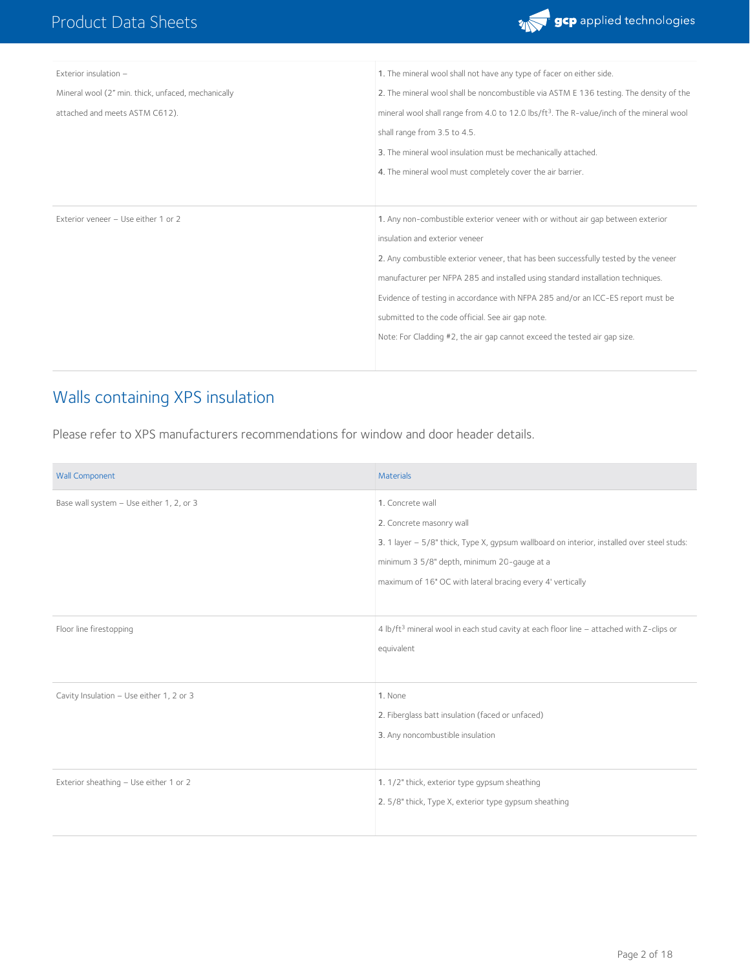

| Exterior insulation -                              | 1. The mineral wool shall not have any type of facer on either side.                                 |
|----------------------------------------------------|------------------------------------------------------------------------------------------------------|
| Mineral wool (2" min. thick, unfaced, mechanically | 2. The mineral wool shall be noncombustible via ASTM E 136 testing. The density of the               |
| attached and meets ASTM C612).                     | mineral wool shall range from 4.0 to 12.0 lbs/ft <sup>3</sup> . The R-value/inch of the mineral wool |
|                                                    | shall range from 3.5 to 4.5.                                                                         |
|                                                    | 3. The mineral wool insulation must be mechanically attached.                                        |
|                                                    | 4. The mineral wool must completely cover the air barrier.                                           |
|                                                    |                                                                                                      |
| Exterior veneer - Use either 1 or 2                | 1. Any non-combustible exterior veneer with or without air gap between exterior                      |
|                                                    | insulation and exterior veneer                                                                       |
|                                                    | 2. Any combustible exterior veneer, that has been successfully tested by the veneer                  |
|                                                    | manufacturer per NFPA 285 and installed using standard installation techniques.                      |
|                                                    | Evidence of testing in accordance with NFPA 285 and/or an ICC-ES report must be                      |
|                                                    | submitted to the code official. See air gap note.                                                    |
|                                                    | Note: For Cladding #2, the air gap cannot exceed the tested air gap size.                            |
|                                                    |                                                                                                      |
|                                                    |                                                                                                      |

#### Walls containing XPS insulation

Please refer to XPS manufacturers recommendations for window and door header details.

| <b>Wall Component</b>                    | <b>Materials</b>                                                                                                                                                                                                                                        |
|------------------------------------------|---------------------------------------------------------------------------------------------------------------------------------------------------------------------------------------------------------------------------------------------------------|
| Base wall system - Use either 1, 2, or 3 | 1. Concrete wall<br>2. Concrete masonry wall<br>3. 1 layer - 5/8" thick, Type X, gypsum wallboard on interior, installed over steel studs:<br>minimum 3 5/8" depth, minimum 20-gauge at a<br>maximum of 16" OC with lateral bracing every 4' vertically |
| Floor line firestopping                  | 4 lb/ft <sup>3</sup> mineral wool in each stud cavity at each floor line - attached with Z-clips or<br>equivalent                                                                                                                                       |
| Cavity Insulation - Use either 1, 2 or 3 | 1. None<br>2. Fiberglass batt insulation (faced or unfaced)<br>3. Any noncombustible insulation                                                                                                                                                         |
| Exterior sheathing - Use either 1 or 2   | 1. 1/2" thick, exterior type gypsum sheathing<br>2. 5/8" thick, Type X, exterior type gypsum sheathing                                                                                                                                                  |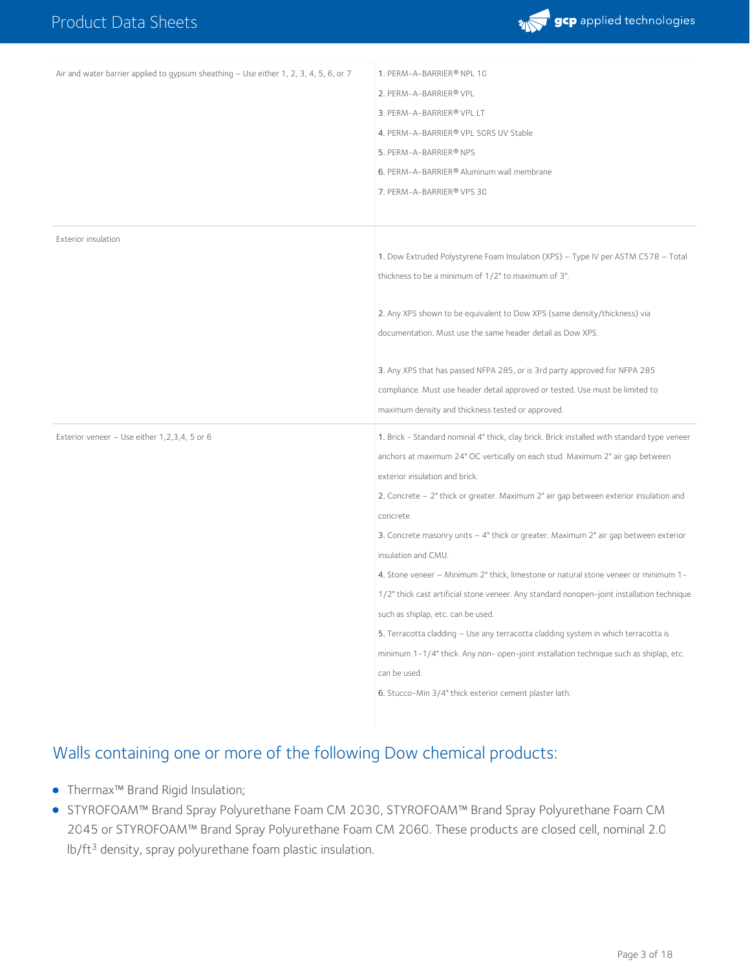

| Air and water barrier applied to gypsum sheathing - Use either 1, 2, 3, 4, 5, 6, or 7 | 1. PERM-A-BARRIER® NPL 10                                                                   |
|---------------------------------------------------------------------------------------|---------------------------------------------------------------------------------------------|
|                                                                                       | 2. PERM-A-BARRIER® VPL                                                                      |
|                                                                                       | 3. PERM-A-BARRIER® VPL LT                                                                   |
|                                                                                       | 4. PERM-A-BARRIER® VPL 50RS UV Stable                                                       |
|                                                                                       | 5. PERM-A-BARRIER® NPS                                                                      |
|                                                                                       | 6. PERM-A-BARRIER® Aluminum wall membrane                                                   |
|                                                                                       | 7. PERM-A-BARRIER® VPS 30                                                                   |
|                                                                                       |                                                                                             |
| Exterior insulation                                                                   |                                                                                             |
|                                                                                       | 1. Dow Extruded Polystyrene Foam Insulation (XPS) - Type IV per ASTM C578 - Total           |
|                                                                                       | thickness to be a minimum of 1/2" to maximum of 3".                                         |
|                                                                                       |                                                                                             |
|                                                                                       | 2. Any XPS shown to be equivalent to Dow XPS (same density/thickness) via                   |
|                                                                                       | documentation. Must use the same header detail as Dow XPS.                                  |
|                                                                                       | 3. Any XPS that has passed NFPA 285, or is 3rd party approved for NFPA 285                  |
|                                                                                       | compliance. Must use header detail approved or tested. Use must be limited to               |
|                                                                                       | maximum density and thickness tested or approved.                                           |
| Exterior veneer $-$ Use either 1,2,3,4, 5 or 6                                        | 1. Brick - Standard nominal 4" thick, clay brick. Brick installed with standard type veneer |
|                                                                                       | anchors at maximum 24" OC vertically on each stud. Maximum 2" air gap between               |
|                                                                                       | exterior insulation and brick.                                                              |
|                                                                                       | 2. Concrete - 2" thick or greater. Maximum 2" air gap between exterior insulation and       |
|                                                                                       | concrete.                                                                                   |
|                                                                                       | 3. Concrete masonry units - 4" thick or greater. Maximum 2" air gap between exterior        |
|                                                                                       | insulation and CMU.                                                                         |
|                                                                                       | 4. Stone veneer - Minimum 2" thick, limestone or natural stone veneer or minimum 1-         |
|                                                                                       | 1/2" thick cast artificial stone veneer. Any standard nonopen-joint installation technique  |
|                                                                                       | such as shiplap, etc. can be used.                                                          |
|                                                                                       | 5. Terracotta cladding - Use any terracotta cladding system in which terracotta is          |
|                                                                                       | minimum 1-1/4" thick. Any non- open-joint installation technique such as shiplap, etc.      |
|                                                                                       | can be used.                                                                                |
|                                                                                       | 6. Stucco-Min 3/4" thick exterior cement plaster lath.                                      |
|                                                                                       |                                                                                             |

#### Walls containing one or more of the following Dow chemical products:

- Thermax™ Brand Rigid Insulation;
- STYROFOAM™ Brand Spray Polyurethane Foam CM 2030, STYROFOAM™ Brand Spray Polyurethane Foam CM 2045 or STYROFOAM™ Brand Spray Polyurethane Foam CM 2060.These products are closed cell, nominal 2.0 lb/ft<sup>3</sup> density, spray polyurethane foam plastic insulation.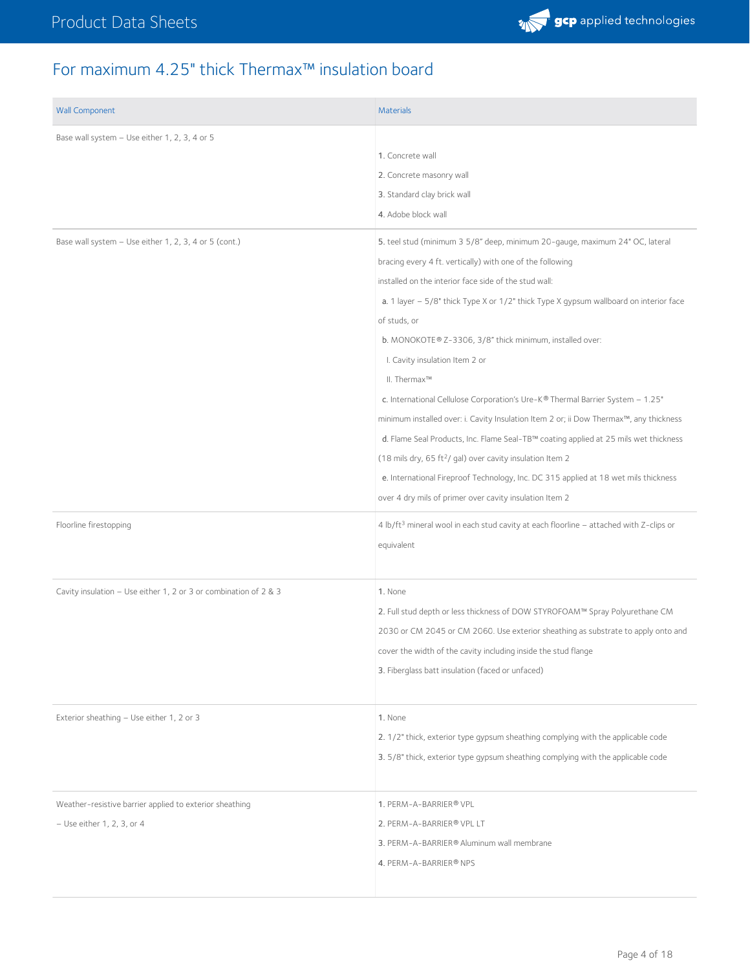### For maximum 4.25" thick Thermax™ insulation board

| <b>Wall Component</b>                                                                   | <b>Materials</b>                                                                                                                                                                                                                                                                                                                                                                                                                                                                                                                                                                                                                                                                                                                                                                                                                                                                                                              |
|-----------------------------------------------------------------------------------------|-------------------------------------------------------------------------------------------------------------------------------------------------------------------------------------------------------------------------------------------------------------------------------------------------------------------------------------------------------------------------------------------------------------------------------------------------------------------------------------------------------------------------------------------------------------------------------------------------------------------------------------------------------------------------------------------------------------------------------------------------------------------------------------------------------------------------------------------------------------------------------------------------------------------------------|
| Base wall system - Use either 1, 2, 3, 4 or 5                                           | 1. Concrete wall<br>2. Concrete masonry wall<br>3. Standard clay brick wall<br>4. Adobe block wall                                                                                                                                                                                                                                                                                                                                                                                                                                                                                                                                                                                                                                                                                                                                                                                                                            |
| Base wall system - Use either 1, 2, 3, 4 or 5 (cont.)                                   | 5. teel stud (minimum 3 5/8" deep, minimum 20-gauge, maximum 24" OC, lateral<br>bracing every 4 ft. vertically) with one of the following<br>installed on the interior face side of the stud wall:<br>a. 1 layer $-5/8$ " thick Type X or $1/2$ " thick Type X gypsum wallboard on interior face<br>of studs, or<br>b. MONOKOTE® Z-3306, 3/8" thick minimum, installed over:<br>I. Cavity insulation Item 2 or<br>II. Thermax™<br>c. International Cellulose Corporation's Ure-K® Thermal Barrier System - 1.25"<br>minimum installed over: i. Cavity Insulation Item 2 or; ii Dow Thermax™, any thickness<br>d. Flame Seal Products, Inc. Flame Seal-TB™ coating applied at 25 mils wet thickness<br>(18 mils dry, 65 ft <sup>2</sup> / gal) over cavity insulation Item 2<br>e. International Fireproof Technology, Inc. DC 315 applied at 18 wet mils thickness<br>over 4 dry mils of primer over cavity insulation Item 2 |
| Floorline firestopping                                                                  | 4 lb/ft <sup>3</sup> mineral wool in each stud cavity at each floorline - attached with Z-clips or<br>equivalent                                                                                                                                                                                                                                                                                                                                                                                                                                                                                                                                                                                                                                                                                                                                                                                                              |
| Cavity insulation - Use either 1, 2 or 3 or combination of 2 & 3                        | 1. None<br>2. Full stud depth or less thickness of DOW STYROFOAM™ Spray Polyurethane CM<br>2030 or CM 2045 or CM 2060. Use exterior sheathing as substrate to apply onto and<br>cover the width of the cavity including inside the stud flange<br>3. Fiberglass batt insulation (faced or unfaced)                                                                                                                                                                                                                                                                                                                                                                                                                                                                                                                                                                                                                            |
| Exterior sheathing - Use either 1, 2 or 3                                               | 1. None<br>2. 1/2" thick, exterior type gypsum sheathing complying with the applicable code<br>3. 5/8" thick, exterior type gypsum sheathing complying with the applicable code                                                                                                                                                                                                                                                                                                                                                                                                                                                                                                                                                                                                                                                                                                                                               |
| Weather-resistive barrier applied to exterior sheathing<br>$-$ Use either 1, 2, 3, or 4 | 1. PERM-A-BARRIER® VPL<br>2. PERM-A-BARRIER® VPL LT<br>3. PERM-A-BARRIER® Aluminum wall membrane<br>4. PERM-A-BARRIER® NPS                                                                                                                                                                                                                                                                                                                                                                                                                                                                                                                                                                                                                                                                                                                                                                                                    |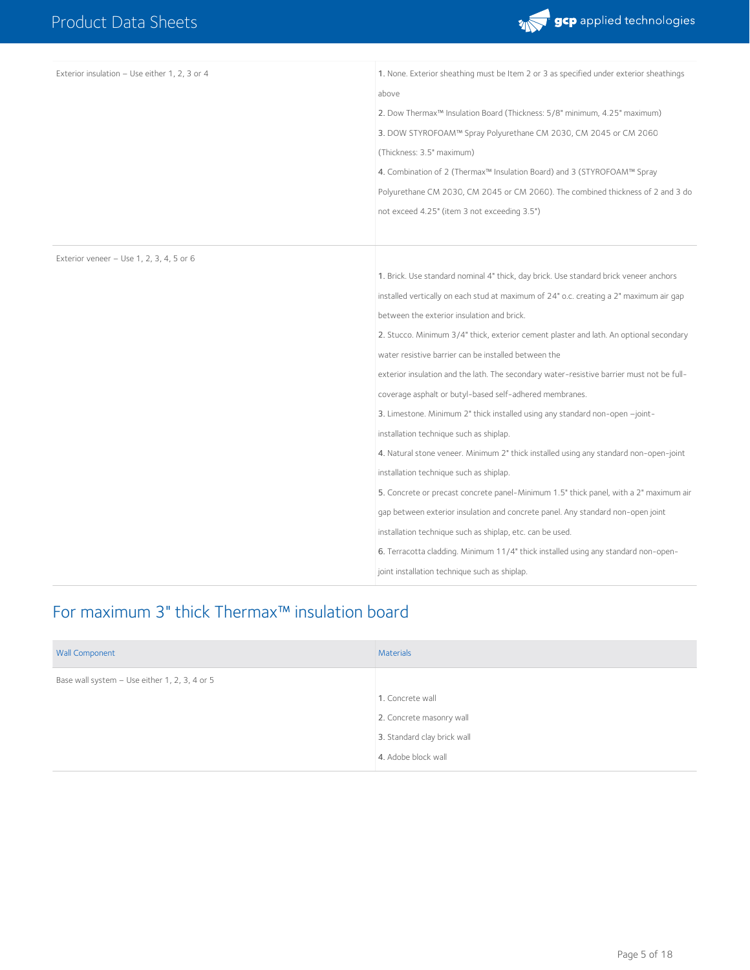

| Exterior insulation - Use either 1, 2, 3 or 4 | 1. None. Exterior sheathing must be Item 2 or 3 as specified under exterior sheathings    |
|-----------------------------------------------|-------------------------------------------------------------------------------------------|
|                                               | above                                                                                     |
|                                               | 2. Dow Thermax <sup>™</sup> Insulation Board (Thickness: 5/8" minimum, 4.25" maximum)     |
|                                               | 3. DOW STYROFOAM™ Spray Polyurethane CM 2030, CM 2045 or CM 2060                          |
|                                               | (Thickness: 3.5" maximum)                                                                 |
|                                               | 4. Combination of 2 (Thermax™ Insulation Board) and 3 (STYROFOAM™ Spray                   |
|                                               | Polyurethane CM 2030, CM 2045 or CM 2060). The combined thickness of 2 and 3 do           |
|                                               | not exceed 4.25" (item 3 not exceeding 3.5")                                              |
|                                               |                                                                                           |
| Exterior veneer $-$ Use 1, 2, 3, 4, 5 or 6    |                                                                                           |
|                                               | 1. Brick. Use standard nominal 4" thick, day brick. Use standard brick veneer anchors     |
|                                               | installed vertically on each stud at maximum of 24" o.c. creating a 2" maximum air gap    |
|                                               | between the exterior insulation and brick.                                                |
|                                               | 2. Stucco. Minimum 3/4" thick, exterior cement plaster and lath. An optional secondary    |
|                                               | water resistive barrier can be installed between the                                      |
|                                               | exterior insulation and the lath. The secondary water-resistive barrier must not be full- |
|                                               | coverage asphalt or butyl-based self-adhered membranes.                                   |
|                                               | 3. Limestone. Minimum 2" thick installed using any standard non-open -joint-              |
|                                               | installation technique such as shiplap.                                                   |
|                                               | 4. Natural stone veneer. Minimum 2" thick installed using any standard non-open-joint     |
|                                               | installation technique such as shiplap.                                                   |
|                                               | 5. Concrete or precast concrete panel-Minimum 1.5" thick panel, with a 2" maximum air     |
|                                               | gap between exterior insulation and concrete panel. Any standard non-open joint           |
|                                               | installation technique such as shiplap, etc. can be used.                                 |
|                                               | 6. Terracotta cladding. Minimum 11/4" thick installed using any standard non-open-        |
|                                               | joint installation technique such as shiplap.                                             |

# For maximum 3" thick Thermax™ insulation board

| <b>Wall Component</b>                         | Materials                   |
|-----------------------------------------------|-----------------------------|
| Base wall system - Use either 1, 2, 3, 4 or 5 |                             |
|                                               | 1. Concrete wall            |
|                                               | 2. Concrete masonry wall    |
|                                               | 3. Standard clay brick wall |
|                                               | 4. Adobe block wall         |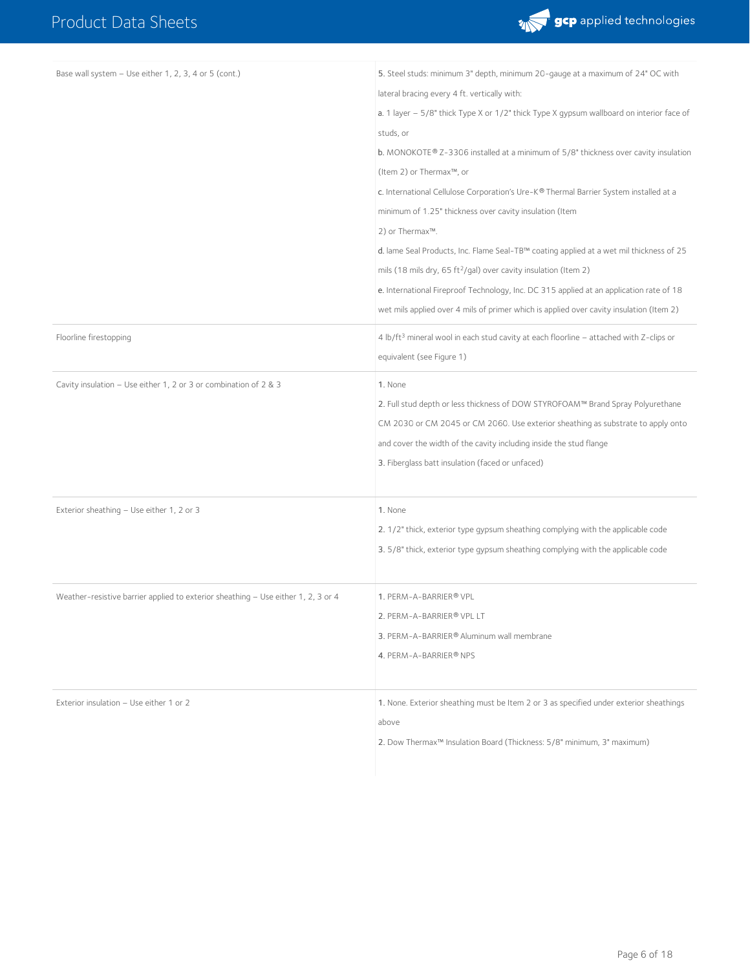

| Base wall system - Use either 1, 2, 3, 4 or 5 (cont.)                             | 5. Steel studs: minimum 3" depth, minimum 20-gauge at a maximum of 24" OC with<br>lateral bracing every 4 ft. vertically with:<br>a. 1 layer - 5/8" thick Type X or 1/2" thick Type X gypsum wallboard on interior face of<br>studs, or<br>b. MONOKOTE® Z-3306 installed at a minimum of 5/8" thickness over cavity insulation<br>(Item 2) or Thermax™, or<br>c. International Cellulose Corporation's Ure-K® Thermal Barrier System installed at a<br>minimum of 1.25" thickness over cavity insulation (Item<br>2) or Thermax™.<br>d. lame Seal Products, Inc. Flame Seal-TB™ coating applied at a wet mil thickness of 25<br>mils (18 mils dry, 65 ft <sup>2</sup> /gal) over cavity insulation (Item 2)<br>e. International Fireproof Technology, Inc. DC 315 applied at an application rate of 18<br>wet mils applied over 4 mils of primer which is applied over cavity insulation (Item 2) |
|-----------------------------------------------------------------------------------|---------------------------------------------------------------------------------------------------------------------------------------------------------------------------------------------------------------------------------------------------------------------------------------------------------------------------------------------------------------------------------------------------------------------------------------------------------------------------------------------------------------------------------------------------------------------------------------------------------------------------------------------------------------------------------------------------------------------------------------------------------------------------------------------------------------------------------------------------------------------------------------------------|
| Floorline firestopping                                                            | 4 lb/ft <sup>3</sup> mineral wool in each stud cavity at each floorline - attached with Z-clips or<br>equivalent (see Figure 1)                                                                                                                                                                                                                                                                                                                                                                                                                                                                                                                                                                                                                                                                                                                                                                   |
| Cavity insulation - Use either 1, 2 or 3 or combination of 2 & 3                  | 1. None<br>2. Full stud depth or less thickness of DOW STYROFOAM™ Brand Spray Polyurethane<br>CM 2030 or CM 2045 or CM 2060. Use exterior sheathing as substrate to apply onto<br>and cover the width of the cavity including inside the stud flange<br>3. Fiberglass batt insulation (faced or unfaced)                                                                                                                                                                                                                                                                                                                                                                                                                                                                                                                                                                                          |
| Exterior sheathing - Use either 1, 2 or 3                                         | 1. None<br>2. 1/2" thick, exterior type gypsum sheathing complying with the applicable code<br>3. 5/8" thick, exterior type gypsum sheathing complying with the applicable code                                                                                                                                                                                                                                                                                                                                                                                                                                                                                                                                                                                                                                                                                                                   |
| Weather-resistive barrier applied to exterior sheathing - Use either 1, 2, 3 or 4 | 1. PERM-A-BARRIER® VPL<br>2. PERM-A-BARRIER® VPL LT<br>3. PERM-A-BARRIER® Aluminum wall membrane<br>4. PERM-A-BARRIER® NPS                                                                                                                                                                                                                                                                                                                                                                                                                                                                                                                                                                                                                                                                                                                                                                        |
| Exterior insulation - Use either 1 or 2                                           | 1. None. Exterior sheathing must be Item 2 or 3 as specified under exterior sheathings<br>above<br>2. Dow Thermax <sup>™</sup> Insulation Board (Thickness: 5/8" minimum, 3" maximum)                                                                                                                                                                                                                                                                                                                                                                                                                                                                                                                                                                                                                                                                                                             |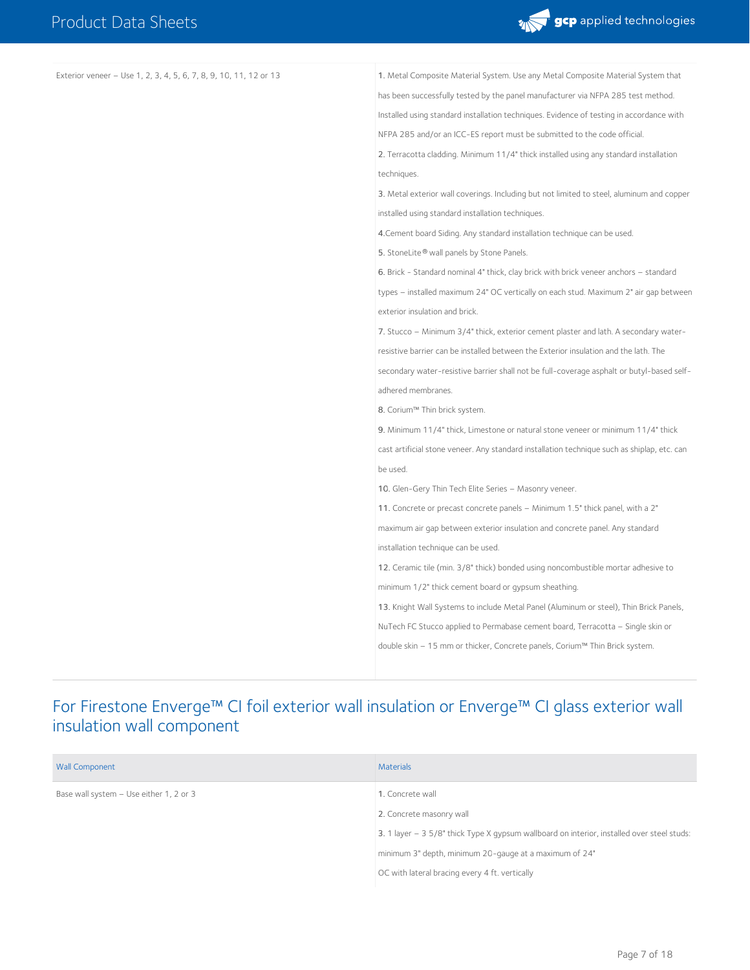

| Exterior veneer - Use 1, 2, 3, 4, 5, 6, 7, 8, 9, 10, 11, 12 or 13 | 1. Metal Composite Material System. Use any Metal Composite Material System that            |
|-------------------------------------------------------------------|---------------------------------------------------------------------------------------------|
|                                                                   | has been successfully tested by the panel manufacturer via NFPA 285 test method.            |
|                                                                   | Installed using standard installation techniques. Evidence of testing in accordance with    |
|                                                                   | NFPA 285 and/or an ICC-ES report must be submitted to the code official.                    |
|                                                                   | 2. Terracotta cladding. Minimum 11/4" thick installed using any standard installation       |
|                                                                   | techniques.                                                                                 |
|                                                                   | 3. Metal exterior wall coverings. Including but not limited to steel, aluminum and copper   |
|                                                                   | installed using standard installation techniques.                                           |
|                                                                   | 4. Cement board Siding. Any standard installation technique can be used.                    |
|                                                                   | 5. StoneLite® wall panels by Stone Panels.                                                  |
|                                                                   | 6. Brick - Standard nominal 4" thick, clay brick with brick veneer anchors - standard       |
|                                                                   | types – installed maximum 24" OC vertically on each stud. Maximum 2" air gap between        |
|                                                                   | exterior insulation and brick.                                                              |
|                                                                   | 7. Stucco - Minimum 3/4" thick, exterior cement plaster and lath. A secondary water-        |
|                                                                   | resistive barrier can be installed between the Exterior insulation and the lath. The        |
|                                                                   | secondary water-resistive barrier shall not be full-coverage asphalt or butyl-based self-   |
|                                                                   | adhered membranes.                                                                          |
|                                                                   | 8. Corium™ Thin brick system.                                                               |
|                                                                   | 9. Minimum 11/4" thick, Limestone or natural stone veneer or minimum 11/4" thick            |
|                                                                   | cast artificial stone veneer. Any standard installation technique such as shiplap, etc. can |
|                                                                   | be used.                                                                                    |
|                                                                   | 10. Glen-Gery Thin Tech Elite Series - Masonry veneer.                                      |
|                                                                   | 11. Concrete or precast concrete panels - Minimum 1.5" thick panel, with a 2"               |
|                                                                   | maximum air gap between exterior insulation and concrete panel. Any standard                |
|                                                                   | installation technique can be used.                                                         |
|                                                                   | 12. Ceramic tile (min. 3/8" thick) bonded using noncombustible mortar adhesive to           |
|                                                                   | minimum 1/2" thick cement board or gypsum sheathing.                                        |
|                                                                   | 13. Knight Wall Systems to include Metal Panel (Aluminum or steel), Thin Brick Panels,      |
|                                                                   | NuTech FC Stucco applied to Permabase cement board, Terracotta - Single skin or             |
|                                                                   | double skin – 15 mm or thicker, Concrete panels, Corium™ Thin Brick system.                 |
|                                                                   |                                                                                             |

#### For Firestone Enverge™ CI foil exterior wall insulation or Enverge™ CI glass exterior wall insulation wall component

| <b>Wall Component</b>                   | <b>Materials</b>                                                                           |
|-----------------------------------------|--------------------------------------------------------------------------------------------|
| Base wall system - Use either 1, 2 or 3 | 1. Concrete wall                                                                           |
|                                         | 2. Concrete masonry wall                                                                   |
|                                         | 3. 1 layer - 3 5/8" thick Type X gypsum wallboard on interior, installed over steel studs: |
|                                         | minimum 3" depth, minimum 20-gauge at a maximum of 24"                                     |
|                                         | OC with lateral bracing every 4 ft. vertically                                             |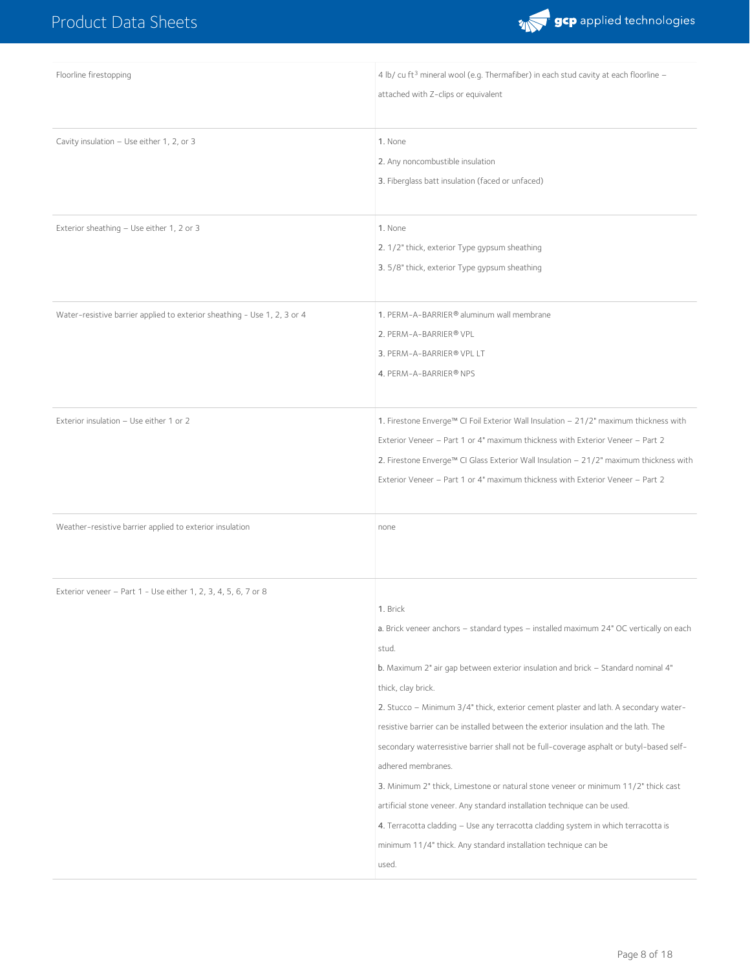

| Floorline firestopping                                                   | 4 lb/ cu ft <sup>3</sup> mineral wool (e.g. Thermafiber) in each stud cavity at each floorline -<br>attached with Z-clips or equivalent                                                                                                                                                                                                                                                                                                                                                                                                                                                                                                                                                                                                                                                                                                                       |
|--------------------------------------------------------------------------|---------------------------------------------------------------------------------------------------------------------------------------------------------------------------------------------------------------------------------------------------------------------------------------------------------------------------------------------------------------------------------------------------------------------------------------------------------------------------------------------------------------------------------------------------------------------------------------------------------------------------------------------------------------------------------------------------------------------------------------------------------------------------------------------------------------------------------------------------------------|
| Cavity insulation - Use either 1, 2, or 3                                | 1. None<br>2. Any noncombustible insulation<br>3. Fiberglass batt insulation (faced or unfaced)                                                                                                                                                                                                                                                                                                                                                                                                                                                                                                                                                                                                                                                                                                                                                               |
| Exterior sheathing - Use either 1, 2 or 3                                | 1. None<br>2. 1/2" thick, exterior Type gypsum sheathing<br>3. 5/8" thick, exterior Type gypsum sheathing                                                                                                                                                                                                                                                                                                                                                                                                                                                                                                                                                                                                                                                                                                                                                     |
| Water-resistive barrier applied to exterior sheathing - Use 1, 2, 3 or 4 | 1. PERM-A-BARRIER® aluminum wall membrane<br>2. PERM-A-BARRIER® VPL<br>3. PERM-A-BARRIER® VPL LT<br>4. PERM-A-BARRIER® NPS                                                                                                                                                                                                                                                                                                                                                                                                                                                                                                                                                                                                                                                                                                                                    |
| Exterior insulation - Use either 1 or 2                                  | 1. Firestone Enverge™ CI Foil Exterior Wall Insulation - 21/2" maximum thickness with<br>Exterior Veneer - Part 1 or 4" maximum thickness with Exterior Veneer - Part 2<br>2. Firestone Enverge™ CI Glass Exterior Wall Insulation - 21/2" maximum thickness with<br>Exterior Veneer - Part 1 or 4" maximum thickness with Exterior Veneer - Part 2                                                                                                                                                                                                                                                                                                                                                                                                                                                                                                           |
| Weather-resistive barrier applied to exterior insulation                 | none                                                                                                                                                                                                                                                                                                                                                                                                                                                                                                                                                                                                                                                                                                                                                                                                                                                          |
| Exterior veneer - Part 1 - Use either 1, 2, 3, 4, 5, 6, 7 or 8           | 1. Brick<br>a. Brick veneer anchors - standard types - installed maximum 24" OC vertically on each<br>stud.<br>b. Maximum 2" air gap between exterior insulation and brick - Standard nominal 4"<br>thick, clay brick.<br>2. Stucco - Minimum 3/4" thick, exterior cement plaster and lath. A secondary water-<br>resistive barrier can be installed between the exterior insulation and the lath. The<br>secondary waterresistive barrier shall not be full-coverage asphalt or butyl-based self-<br>adhered membranes.<br>3. Minimum 2" thick, Limestone or natural stone veneer or minimum 11/2" thick cast<br>artificial stone veneer. Any standard installation technique can be used.<br>4. Terracotta cladding - Use any terracotta cladding system in which terracotta is<br>minimum 11/4" thick. Any standard installation technique can be<br>used. |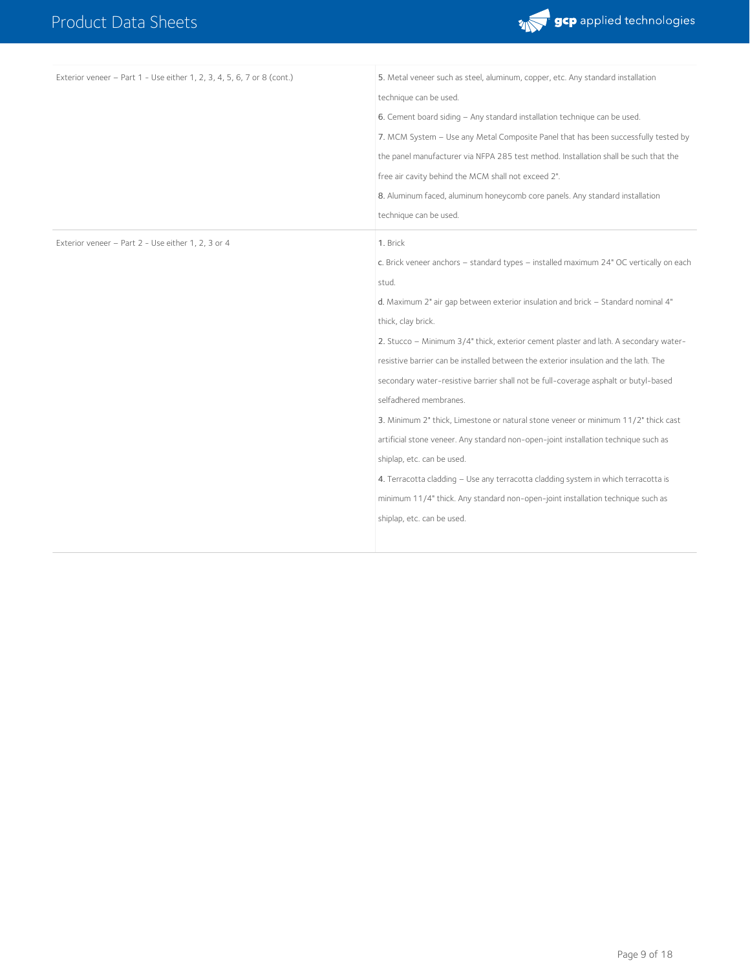

| Exterior veneer - Part 1 - Use either 1, 2, 3, 4, 5, 6, 7 or 8 (cont.) | 5. Metal veneer such as steel, aluminum, copper, etc. Any standard installation        |
|------------------------------------------------------------------------|----------------------------------------------------------------------------------------|
|                                                                        | technique can be used.                                                                 |
|                                                                        | 6. Cement board siding - Any standard installation technique can be used.              |
|                                                                        | 7. MCM System - Use any Metal Composite Panel that has been successfully tested by     |
|                                                                        | the panel manufacturer via NFPA 285 test method. Installation shall be such that the   |
|                                                                        | free air cavity behind the MCM shall not exceed 2".                                    |
|                                                                        | 8. Aluminum faced, aluminum honeycomb core panels. Any standard installation           |
|                                                                        | technique can be used.                                                                 |
| Exterior veneer - Part 2 - Use either 1, 2, 3 or 4                     | 1. Brick                                                                               |
|                                                                        | c. Brick veneer anchors - standard types - installed maximum 24" OC vertically on each |
|                                                                        | stud.                                                                                  |
|                                                                        | d. Maximum 2" air qap between exterior insulation and brick - Standard nominal 4"      |
|                                                                        | thick, clay brick.                                                                     |
|                                                                        | 2. Stucco - Minimum 3/4" thick, exterior cement plaster and lath. A secondary water-   |
|                                                                        | resistive barrier can be installed between the exterior insulation and the lath. The   |
|                                                                        | secondary water-resistive barrier shall not be full-coverage asphalt or butyl-based    |
|                                                                        | selfadhered membranes.                                                                 |
|                                                                        | 3. Minimum 2" thick, Limestone or natural stone veneer or minimum 11/2" thick cast     |
|                                                                        | artificial stone veneer. Any standard non-open-joint installation technique such as    |
|                                                                        | shiplap, etc. can be used.                                                             |
|                                                                        | 4. Terracotta cladding - Use any terracotta cladding system in which terracotta is     |
|                                                                        | minimum 11/4" thick. Any standard non-open-joint installation technique such as        |
|                                                                        | shiplap, etc. can be used.                                                             |
|                                                                        |                                                                                        |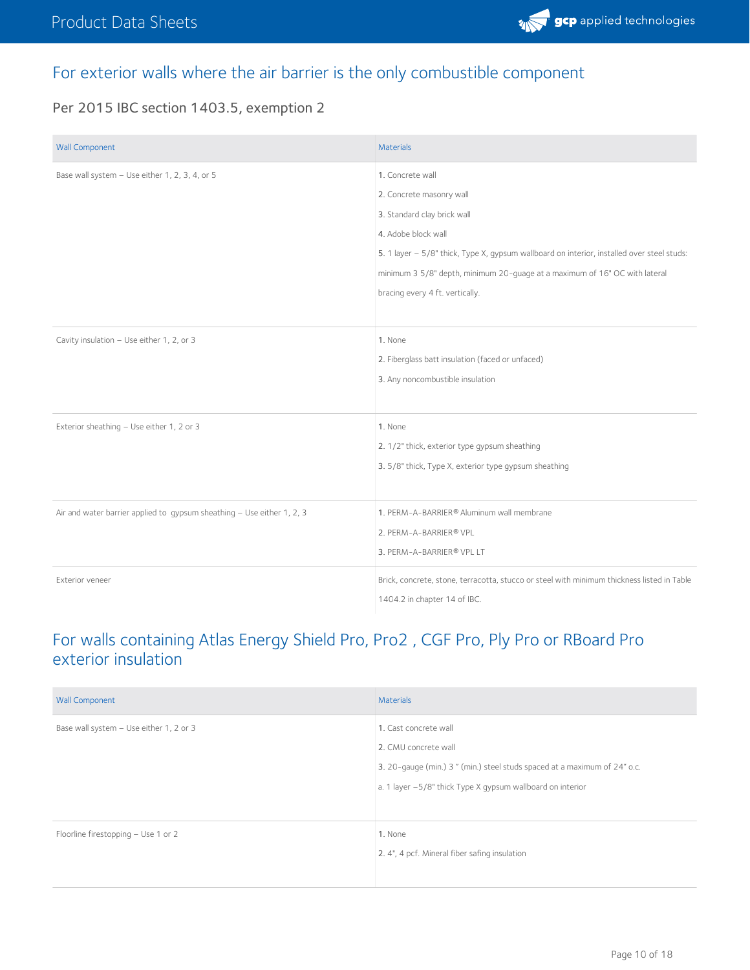

#### For exterior walls where the air barrier is the only combustible component

Per 2015 IBC section 1403.5, exemption 2

| <b>Wall Component</b>                                                  | <b>Materials</b>                                                                           |
|------------------------------------------------------------------------|--------------------------------------------------------------------------------------------|
| Base wall system - Use either 1, 2, 3, 4, or 5                         | 1. Concrete wall                                                                           |
|                                                                        | 2. Concrete masonry wall                                                                   |
|                                                                        | 3. Standard clay brick wall                                                                |
|                                                                        | 4. Adobe block wall                                                                        |
|                                                                        | 5. 1 layer - 5/8" thick, Type X, gypsum wallboard on interior, installed over steel studs: |
|                                                                        | minimum 3 5/8" depth, minimum 20-guage at a maximum of 16" OC with lateral                 |
|                                                                        | bracing every 4 ft. vertically.                                                            |
|                                                                        |                                                                                            |
| Cavity insulation - Use either 1, 2, or 3                              | 1. None                                                                                    |
|                                                                        | 2. Fiberglass batt insulation (faced or unfaced)                                           |
|                                                                        | 3. Any noncombustible insulation                                                           |
|                                                                        |                                                                                            |
| Exterior sheathing - Use either 1, 2 or 3                              | 1. None                                                                                    |
|                                                                        | 2. 1/2" thick, exterior type gypsum sheathing                                              |
|                                                                        | 3. 5/8" thick, Type X, exterior type gypsum sheathing                                      |
|                                                                        |                                                                                            |
| Air and water barrier applied to gypsum sheathing - Use either 1, 2, 3 | 1. PERM-A-BARRIER® Aluminum wall membrane                                                  |
|                                                                        | 2. PERM-A-BARRIER® VPL                                                                     |
|                                                                        | 3. PERM-A-BARRIER® VPL LT                                                                  |
| Exterior veneer                                                        | Brick, concrete, stone, terracotta, stucco or steel with minimum thickness listed in Table |
|                                                                        | 1404.2 in chapter 14 of IBC.                                                               |

#### For walls containing Atlas Energy Shield Pro, Pro2 , CGF Pro, Ply Pro or RBoard Pro exterior insulation

| <b>Wall Component</b>                   | Materials                                                                 |
|-----------------------------------------|---------------------------------------------------------------------------|
| Base wall system - Use either 1, 2 or 3 | 1. Cast concrete wall                                                     |
|                                         | 2. CMU concrete wall                                                      |
|                                         | 3. 20-gauge (min.) 3 " (min.) steel studs spaced at a maximum of 24" o.c. |
|                                         | a. 1 layer -5/8" thick Type X gypsum wallboard on interior                |
|                                         |                                                                           |
| Floorline firestopping - Use 1 or 2     | 1. None                                                                   |
|                                         | 2. 4", 4 pcf. Mineral fiber safing insulation                             |
|                                         |                                                                           |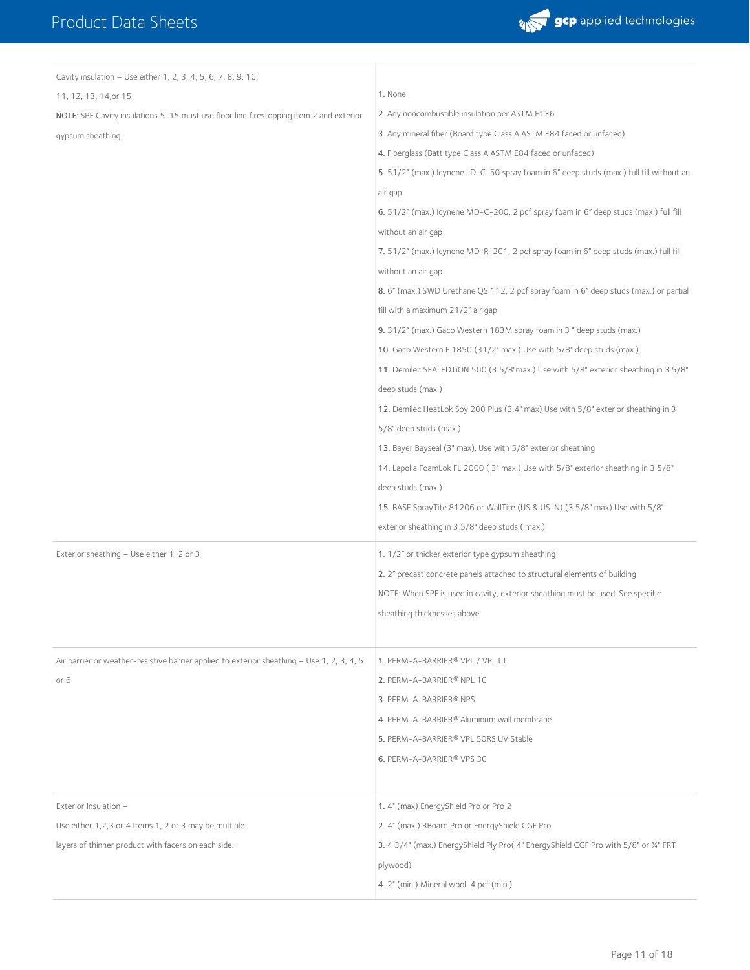

| Cavity insulation - Use either 1, 2, 3, 4, 5, 6, 7, 8, 9, 10,                              |                                                                                         |
|--------------------------------------------------------------------------------------------|-----------------------------------------------------------------------------------------|
| 11, 12, 13, 14, or 15                                                                      | 1. None                                                                                 |
| NOTE: SPF Cavity insulations 5-15 must use floor line firestopping item 2 and exterior     | 2. Any noncombustible insulation per ASTM E136                                          |
| qypsum sheathing.                                                                          | 3. Any mineral fiber (Board type Class A ASTM E84 faced or unfaced)                     |
|                                                                                            | 4. Fiberglass (Batt type Class A ASTM E84 faced or unfaced)                             |
|                                                                                            | 5. 51/2" (max.) Icynene LD-C-50 spray foam in 6" deep studs (max.) full fill without an |
|                                                                                            | air gap                                                                                 |
|                                                                                            | 6. 51/2" (max.) Icynene MD-C-200, 2 pcf spray foam in 6" deep studs (max.) full fill    |
|                                                                                            | without an air gap                                                                      |
|                                                                                            | 7. 51/2" (max.) Icynene MD-R-201, 2 pcf spray foam in 6" deep studs (max.) full fill    |
|                                                                                            | without an air gap                                                                      |
|                                                                                            | 8.6" (max.) SWD Urethane QS 112, 2 pcf spray foam in 6" deep studs (max.) or partial    |
|                                                                                            | fill with a maximum 21/2" air gap                                                       |
|                                                                                            | 9. 31/2" (max.) Gaco Western 183M spray foam in 3" deep studs (max.)                    |
|                                                                                            | 10. Gaco Western F 1850 (31/2" max.) Use with 5/8" deep studs (max.)                    |
|                                                                                            | 11. Demilec SEALEDTION 500 (3 5/8"max.) Use with 5/8" exterior sheathing in 3 5/8"      |
|                                                                                            | deep studs (max.)                                                                       |
|                                                                                            | 12. Demilec HeatLok Soy 200 Plus (3.4" max) Use with 5/8" exterior sheathing in 3       |
|                                                                                            | 5/8" deep studs (max.)                                                                  |
|                                                                                            | 13. Bayer Bayseal (3" max). Use with 5/8" exterior sheathing                            |
|                                                                                            | 14. Lapolla FoamLok FL 2000 (3" max.) Use with 5/8" exterior sheathing in 3 5/8"        |
|                                                                                            | deep studs (max.)                                                                       |
|                                                                                            | 15. BASF SprayTite 81206 or WallTite (US & US-N) (3 5/8" max) Use with 5/8"             |
|                                                                                            | exterior sheathing in 3 5/8" deep studs (max.)                                          |
| Exterior sheathing - Use either 1, 2 or 3                                                  | 1. 1/2" or thicker exterior type gypsum sheathing                                       |
|                                                                                            | 2. 2" precast concrete panels attached to structural elements of building               |
|                                                                                            | NOTE: When SPF is used in cavity, exterior sheathing must be used. See specific         |
|                                                                                            | sheathing thicknesses above.                                                            |
|                                                                                            |                                                                                         |
| Air barrier or weather-resistive barrier applied to exterior sheathing - Use 1, 2, 3, 4, 5 | 1. PERM-A-BARRIER® VPL / VPL LT                                                         |
| or 6                                                                                       | 2. PERM-A-BARRIER® NPL 10                                                               |
|                                                                                            | 3. PERM-A-BARRIER® NPS                                                                  |
|                                                                                            | 4. PERM-A-BARRIER® Aluminum wall membrane                                               |
|                                                                                            | 5. PERM-A-BARRIER® VPL 50RS UV Stable                                                   |
|                                                                                            | 6. PERM-A-BARRIER® VPS 30                                                               |
|                                                                                            |                                                                                         |
| Exterior Insulation -                                                                      | 1.4" (max) EnergyShield Pro or Pro 2                                                    |
| Use either 1,2,3 or 4 Items 1, 2 or 3 may be multiple                                      | 2. 4" (max.) RBoard Pro or EnergyShield CGF Pro.                                        |
| layers of thinner product with facers on each side.                                        | 3. 4 3/4" (max.) EnergyShield Ply Pro(4" EnergyShield CGF Pro with 5/8" or 34" FRT      |
|                                                                                            | plywood)                                                                                |
|                                                                                            | 4. 2" (min.) Mineral wool-4 pcf (min.)                                                  |
|                                                                                            |                                                                                         |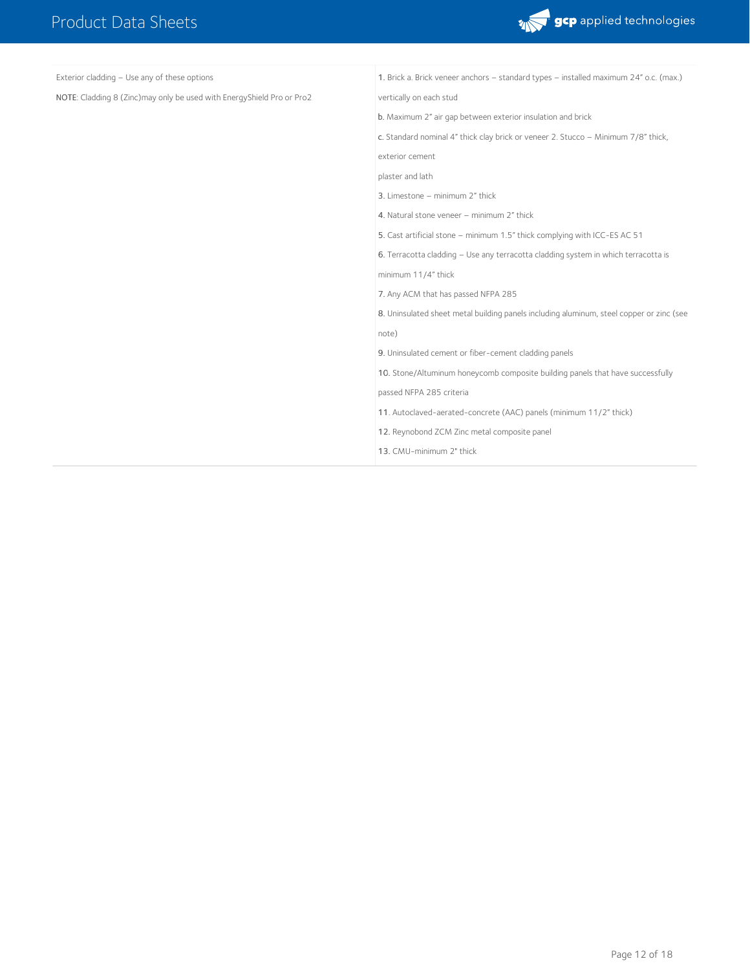r.



| Exterior cladding - Use any of these options                          | 1. Brick a. Brick veneer anchors - standard types - installed maximum 24" o.c. (max.)    |
|-----------------------------------------------------------------------|------------------------------------------------------------------------------------------|
| NOTE: Cladding 8 (Zinc)may only be used with EnergyShield Pro or Pro2 | vertically on each stud                                                                  |
|                                                                       | b. Maximum 2" air gap between exterior insulation and brick                              |
|                                                                       | c. Standard nominal 4" thick clay brick or veneer 2. Stucco - Minimum 7/8" thick,        |
|                                                                       | exterior cement                                                                          |
|                                                                       | plaster and lath                                                                         |
|                                                                       | 3. Limestone - minimum 2" thick                                                          |
|                                                                       | 4. Natural stone veneer - minimum 2" thick                                               |
|                                                                       | 5. Cast artificial stone - minimum 1.5" thick complying with ICC-ES AC 51                |
|                                                                       | 6. Terracotta cladding - Use any terracotta cladding system in which terracotta is       |
|                                                                       | minimum 11/4" thick                                                                      |
|                                                                       | 7. Any ACM that has passed NFPA 285                                                      |
|                                                                       | 8. Uninsulated sheet metal building panels including aluminum, steel copper or zinc (see |
|                                                                       | note)                                                                                    |
|                                                                       | 9. Uninsulated cement or fiber-cement cladding panels                                    |
|                                                                       | 10. Stone/Altuminum honeycomb composite building panels that have successfully           |
|                                                                       | passed NFPA 285 criteria                                                                 |
|                                                                       | 11. Autoclaved-aerated-concrete (AAC) panels (minimum 11/2" thick)                       |
|                                                                       | 12. Reynobond ZCM Zinc metal composite panel                                             |
|                                                                       | 13. CMU-minimum 2" thick                                                                 |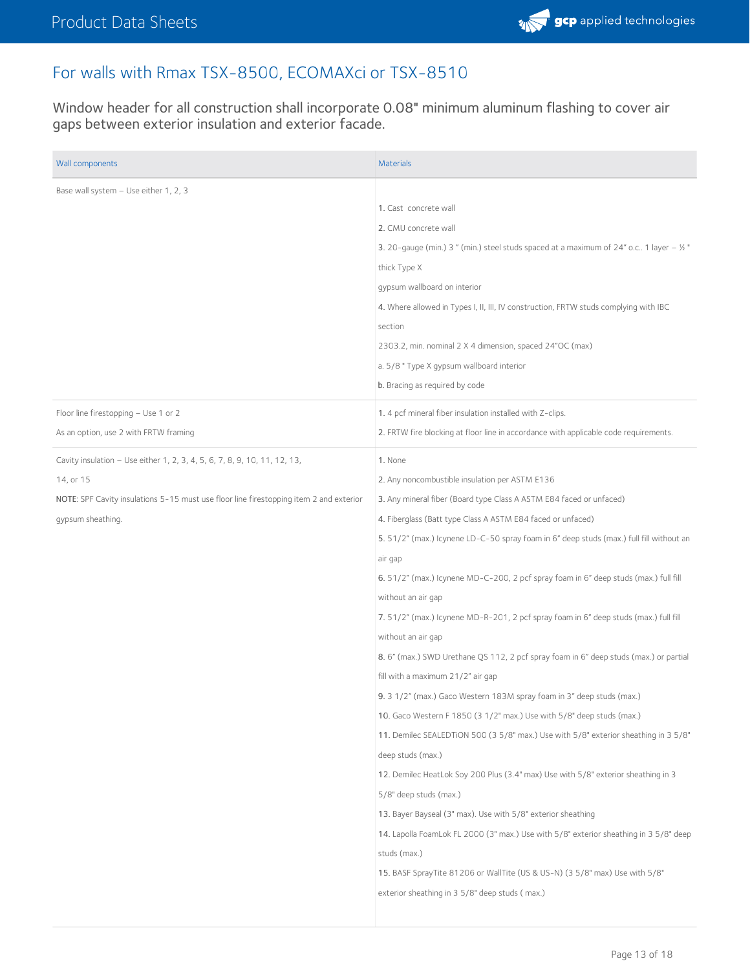

#### For walls with Rmax TSX-8500, ECOMAXci or TSX-8510

Window header for all construction shall incorporate 0.08" minimum aluminum flashing to cover air gaps between exterior insulation and exterior facade.

| Wall components                                                                        | <b>Materials</b>                                                                          |
|----------------------------------------------------------------------------------------|-------------------------------------------------------------------------------------------|
| Base wall system - Use either 1, 2, 3                                                  |                                                                                           |
|                                                                                        | 1. Cast concrete wall                                                                     |
|                                                                                        | 2. CMU concrete wall                                                                      |
|                                                                                        | 3. 20-gauge (min.) 3 " (min.) steel studs spaced at a maximum of 24" o.c 1 layer $-$ 1/2" |
|                                                                                        | thick Type X                                                                              |
|                                                                                        | gypsum wallboard on interior                                                              |
|                                                                                        | 4. Where allowed in Types I, II, III, IV construction, FRTW studs complying with IBC      |
|                                                                                        | section                                                                                   |
|                                                                                        | 2303.2, min. nominal 2 X 4 dimension, spaced 24"OC (max)                                  |
|                                                                                        | a. 5/8 " Type X gypsum wallboard interior                                                 |
|                                                                                        | b. Bracing as required by code                                                            |
| Floor line firestopping - Use 1 or 2                                                   | 1. 4 pcf mineral fiber insulation installed with Z-clips.                                 |
| As an option, use 2 with FRTW framing                                                  | 2. FRTW fire blocking at floor line in accordance with applicable code requirements.      |
| Cavity insulation - Use either 1, 2, 3, 4, 5, 6, 7, 8, 9, 10, 11, 12, 13,              | 1. None                                                                                   |
| 14, or 15                                                                              | 2. Any noncombustible insulation per ASTM E136                                            |
| NOTE: SPF Cavity insulations 5-15 must use floor line firestopping item 2 and exterior | 3. Any mineral fiber (Board type Class A ASTM E84 faced or unfaced)                       |
| gypsum sheathing.                                                                      | 4. Fiberglass (Batt type Class A ASTM E84 faced or unfaced)                               |
|                                                                                        | 5. 51/2" (max.) Icynene LD-C-50 spray foam in 6" deep studs (max.) full fill without an   |
|                                                                                        | air gap                                                                                   |
|                                                                                        | 6. 51/2" (max.) Icynene MD-C-200, 2 pcf spray foam in 6" deep studs (max.) full fill      |
|                                                                                        | without an air gap                                                                        |
|                                                                                        | 7.51/2" (max.) Icynene MD-R-201, 2 pcf spray foam in 6" deep studs (max.) full fill       |
|                                                                                        | without an air gap                                                                        |
|                                                                                        | 8.6" (max.) SWD Urethane QS 112, 2 pcf spray foam in 6" deep studs (max.) or partial      |
|                                                                                        | fill with a maximum 21/2" air gap                                                         |
|                                                                                        | 9. 3 1/2" (max.) Gaco Western 183M spray foam in 3" deep studs (max.)                     |
|                                                                                        | 10. Gaco Western F 1850 (3 1/2" max.) Use with 5/8" deep studs (max.)                     |
|                                                                                        | 11. Demilec SEALEDTION 500 (3 5/8" max.) Use with 5/8" exterior sheathing in 3 5/8"       |
|                                                                                        | deep studs (max.)                                                                         |
|                                                                                        | 12. Demilec HeatLok Soy 200 Plus (3.4" max) Use with 5/8" exterior sheathing in 3         |
|                                                                                        | 5/8" deep studs (max.)                                                                    |
|                                                                                        | 13. Bayer Bayseal (3" max). Use with 5/8" exterior sheathing                              |
|                                                                                        | 14. Lapolla FoamLok FL 2000 (3" max.) Use with 5/8" exterior sheathing in 3 5/8" deep     |
|                                                                                        | studs (max.)                                                                              |
|                                                                                        | 15. BASF SprayTite 81206 or WallTite (US & US-N) (3 5/8" max) Use with 5/8"               |
|                                                                                        | exterior sheathing in 3 5/8" deep studs (max.)                                            |
|                                                                                        |                                                                                           |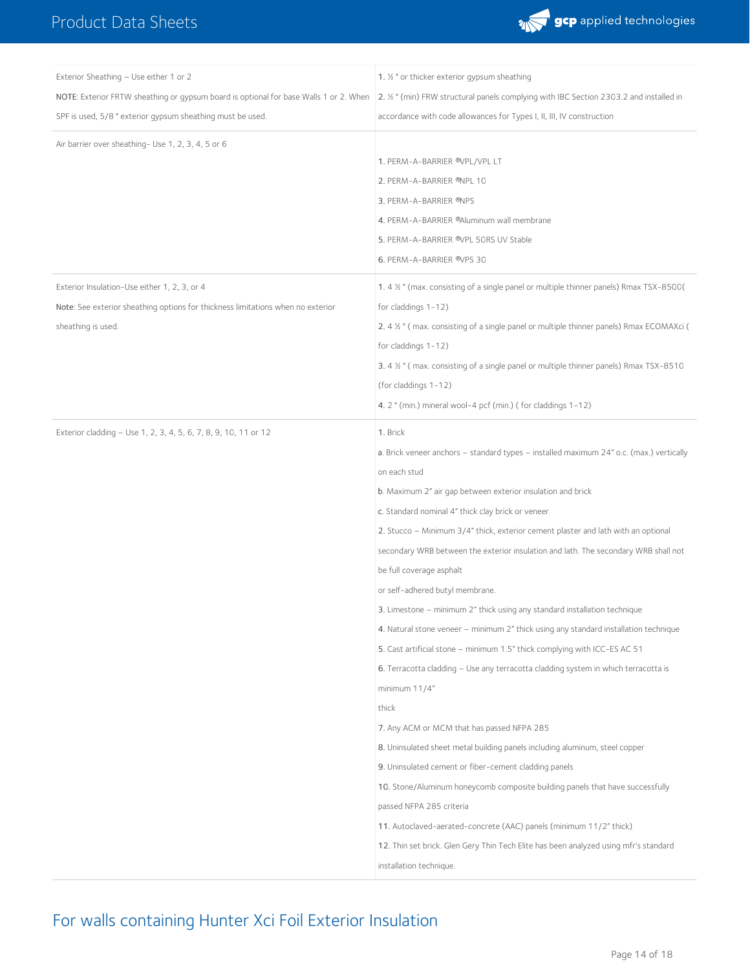

| Exterior Sheathing - Use either 1 or 2                                                | 1. 1/2 " or thicker exterior gypsum sheathing                                             |
|---------------------------------------------------------------------------------------|-------------------------------------------------------------------------------------------|
| NOTE: Exterior FRTW sheathing or gypsum board is optional for base Walls 1 or 2. When | 2. 1/2 " (min) FRW structural panels complying with IBC Section 2303.2 and installed in   |
| SPF is used, 5/8 " exterior gypsum sheathing must be used.                            | accordance with code allowances for Types I, II, III, IV construction                     |
| Air barrier over sheathing- Use 1, 2, 3, 4, 5 or 6                                    |                                                                                           |
|                                                                                       | 1. PERM-A-BARRIER ®VPL/VPL LT                                                             |
|                                                                                       | 2. PERM-A-BARRIER ®NPL 10                                                                 |
|                                                                                       | 3. PERM-A-BARRIER <sup>®</sup> NPS                                                        |
|                                                                                       | 4. PERM-A-BARRIER ®Aluminum wall membrane                                                 |
|                                                                                       | 5. PERM-A-BARRIER ®VPL 50RS UV Stable                                                     |
|                                                                                       | 6. PERM-A-BARRIER ®VPS 30                                                                 |
| Exterior Insulation-Use either 1, 2, 3, or 4                                          | 1.4 % " (max. consisting of a single panel or multiple thinner panels) Rmax TSX-8500(     |
| Note: See exterior sheathing options for thickness limitations when no exterior       | for claddings 1-12)                                                                       |
| sheathing is used.                                                                    | 2. 4 1/2 " (max. consisting of a single panel or multiple thinner panels) Rmax ECOMAXci ( |
|                                                                                       | for claddings 1-12)                                                                       |
|                                                                                       | 3.4 1/2 " (max. consisting of a single panel or multiple thinner panels) Rmax TSX-8510    |
|                                                                                       | (for claddings 1-12)                                                                      |
|                                                                                       | 4. 2 " (min.) mineral wool-4 pcf (min.) (for claddings 1-12)                              |
| Exterior cladding - Use 1, 2, 3, 4, 5, 6, 7, 8, 9, 10, 11 or 12                       | 1. Brick                                                                                  |
|                                                                                       | a. Brick veneer anchors - standard types - installed maximum 24" o.c. (max.) vertically   |
|                                                                                       | on each stud                                                                              |
|                                                                                       | b. Maximum 2" air gap between exterior insulation and brick                               |
|                                                                                       | c. Standard nominal 4" thick clay brick or veneer                                         |
|                                                                                       | 2. Stucco – Minimum 3/4" thick, exterior cement plaster and lath with an optional         |
|                                                                                       | secondary WRB between the exterior insulation and lath. The secondary WRB shall not       |
|                                                                                       | be full coverage asphalt                                                                  |
|                                                                                       | or self-adhered butyl membrane.                                                           |
|                                                                                       | 3. Limestone – minimum 2" thick using any standard installation technique                 |
|                                                                                       | 4. Natural stone veneer – minimum 2" thick using any standard installation technique      |
|                                                                                       | 5. Cast artificial stone - minimum 1.5" thick complying with ICC-ES AC 51                 |
|                                                                                       | 6. Terracotta cladding - Use any terracotta cladding system in which terracotta is        |
|                                                                                       | minimum $11/4"$                                                                           |
|                                                                                       | thick                                                                                     |
|                                                                                       | 7. Any ACM or MCM that has passed NFPA 285                                                |
|                                                                                       | 8. Uninsulated sheet metal building panels including aluminum, steel copper               |
|                                                                                       | 9. Uninsulated cement or fiber-cement cladding panels                                     |
|                                                                                       | 10. Stone/Aluminum honeycomb composite building panels that have successfully             |
|                                                                                       | passed NFPA 285 criteria                                                                  |
|                                                                                       | 11. Autoclaved-aerated-concrete (AAC) panels (minimum 11/2" thick)                        |
|                                                                                       | 12. Thin set brick. Glen Gery Thin Tech Elite has been analyzed using mfr's standard      |
|                                                                                       | installation technique.                                                                   |

# For walls containing Hunter Xci Foil Exterior Insulation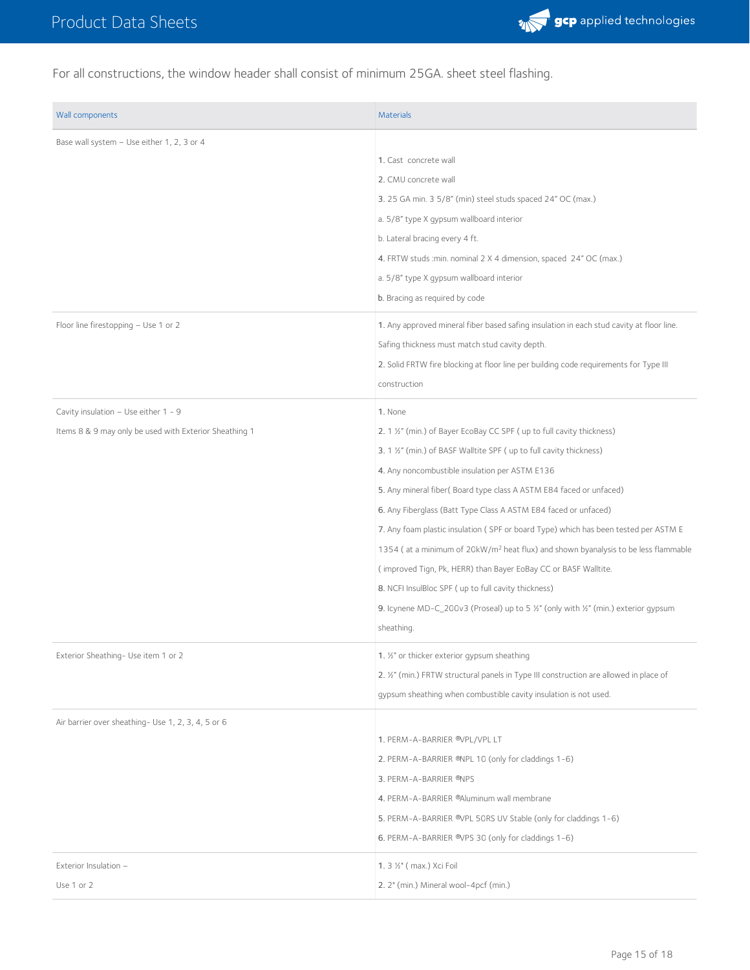

For all constructions, the window header shall consist of minimum 25GA. sheet steel flashing.

| Base wall system - Use either 1, 2, 3 or 4<br>1. Cast concrete wall<br>2. CMU concrete wall<br>3. 25 GA min. 3 5/8" (min) steel studs spaced 24" OC (max.)<br>a. 5/8" type X qypsum wallboard interior<br>b. Lateral bracing every 4 ft.<br>4. FRTW studs : min. nominal 2 X 4 dimension, spaced 24" OC (max.)<br>a. 5/8" type X gypsum wallboard interior<br>b. Bracing as required by code<br>Floor line firestopping - Use 1 or 2<br>1. Any approved mineral fiber based safing insulation in each stud cavity at floor line.<br>Safing thickness must match stud cavity depth.<br>2. Solid FRTW fire blocking at floor line per building code requirements for Type III<br>construction<br>Cavity insulation - Use either 1 - 9<br>1. None<br>Items 8 & 9 may only be used with Exterior Sheathing 1<br>2. 1 1/2" (min.) of Bayer EcoBay CC SPF (up to full cavity thickness)<br>3. 1 1/2" (min.) of BASF Walltite SPF (up to full cavity thickness)<br>4. Any noncombustible insulation per ASTM E136<br>5. Any mineral fiber(Board type class A ASTM E84 faced or unfaced)<br>6. Any Fiberglass (Batt Type Class A ASTM E84 faced or unfaced)<br>7. Any foam plastic insulation (SPF or board Type) which has been tested per ASTM E<br>1354 (at a minimum of 20kW/m <sup>2</sup> heat flux) and shown byanalysis to be less flammable<br>(improved Tign, Pk, HERR) than Bayer EoBay CC or BASF Walltite.<br>8. NCFI InsulBloc SPF (up to full cavity thickness)<br>9. Icynene MD-C_200v3 (Proseal) up to 5 %" (only with %" (min.) exterior gypsum<br>sheathing.<br>Exterior Sheathing- Use item 1 or 2<br>1. 1/2" or thicker exterior gypsum sheathing<br>2. 1/2" (min.) FRTW structural panels in Type III construction are allowed in place of<br>gypsum sheathing when combustible cavity insulation is not used.<br>Air barrier over sheathing- Use 1, 2, 3, 4, 5 or 6<br>1. PERM-A-BARRIER ®VPL/VPL LT<br>2. PERM-A-BARRIER ®NPL 10 (only for claddings 1-6)<br>3. PERM-A-BARRIER ®NPS<br>4. PERM-A-BARRIER ®Aluminum wall membrane<br>5. PERM-A-BARRIER ®VPL 50RS UV Stable (only for claddings 1-6)<br>6. PERM-A-BARRIER ®VPS 30 (only for claddings 1-6)<br>1. 3 1/2" ( max.) Xci Foil<br>Exterior Insulation -<br>Use 1 or 2<br>2. 2" (min.) Mineral wool-4pcf (min.) | Wall components | <b>Materials</b> |
|----------------------------------------------------------------------------------------------------------------------------------------------------------------------------------------------------------------------------------------------------------------------------------------------------------------------------------------------------------------------------------------------------------------------------------------------------------------------------------------------------------------------------------------------------------------------------------------------------------------------------------------------------------------------------------------------------------------------------------------------------------------------------------------------------------------------------------------------------------------------------------------------------------------------------------------------------------------------------------------------------------------------------------------------------------------------------------------------------------------------------------------------------------------------------------------------------------------------------------------------------------------------------------------------------------------------------------------------------------------------------------------------------------------------------------------------------------------------------------------------------------------------------------------------------------------------------------------------------------------------------------------------------------------------------------------------------------------------------------------------------------------------------------------------------------------------------------------------------------------------------------------------------------------------------------------------------------------------------------------------------------------------------------------------------------------------------------------------------------------------------------------------------------------------------------------------------------------------------------------------------------------------------------------|-----------------|------------------|
|                                                                                                                                                                                                                                                                                                                                                                                                                                                                                                                                                                                                                                                                                                                                                                                                                                                                                                                                                                                                                                                                                                                                                                                                                                                                                                                                                                                                                                                                                                                                                                                                                                                                                                                                                                                                                                                                                                                                                                                                                                                                                                                                                                                                                                                                                        |                 |                  |
|                                                                                                                                                                                                                                                                                                                                                                                                                                                                                                                                                                                                                                                                                                                                                                                                                                                                                                                                                                                                                                                                                                                                                                                                                                                                                                                                                                                                                                                                                                                                                                                                                                                                                                                                                                                                                                                                                                                                                                                                                                                                                                                                                                                                                                                                                        |                 |                  |
|                                                                                                                                                                                                                                                                                                                                                                                                                                                                                                                                                                                                                                                                                                                                                                                                                                                                                                                                                                                                                                                                                                                                                                                                                                                                                                                                                                                                                                                                                                                                                                                                                                                                                                                                                                                                                                                                                                                                                                                                                                                                                                                                                                                                                                                                                        |                 |                  |
|                                                                                                                                                                                                                                                                                                                                                                                                                                                                                                                                                                                                                                                                                                                                                                                                                                                                                                                                                                                                                                                                                                                                                                                                                                                                                                                                                                                                                                                                                                                                                                                                                                                                                                                                                                                                                                                                                                                                                                                                                                                                                                                                                                                                                                                                                        |                 |                  |
|                                                                                                                                                                                                                                                                                                                                                                                                                                                                                                                                                                                                                                                                                                                                                                                                                                                                                                                                                                                                                                                                                                                                                                                                                                                                                                                                                                                                                                                                                                                                                                                                                                                                                                                                                                                                                                                                                                                                                                                                                                                                                                                                                                                                                                                                                        |                 |                  |
|                                                                                                                                                                                                                                                                                                                                                                                                                                                                                                                                                                                                                                                                                                                                                                                                                                                                                                                                                                                                                                                                                                                                                                                                                                                                                                                                                                                                                                                                                                                                                                                                                                                                                                                                                                                                                                                                                                                                                                                                                                                                                                                                                                                                                                                                                        |                 |                  |
|                                                                                                                                                                                                                                                                                                                                                                                                                                                                                                                                                                                                                                                                                                                                                                                                                                                                                                                                                                                                                                                                                                                                                                                                                                                                                                                                                                                                                                                                                                                                                                                                                                                                                                                                                                                                                                                                                                                                                                                                                                                                                                                                                                                                                                                                                        |                 |                  |
|                                                                                                                                                                                                                                                                                                                                                                                                                                                                                                                                                                                                                                                                                                                                                                                                                                                                                                                                                                                                                                                                                                                                                                                                                                                                                                                                                                                                                                                                                                                                                                                                                                                                                                                                                                                                                                                                                                                                                                                                                                                                                                                                                                                                                                                                                        |                 |                  |
|                                                                                                                                                                                                                                                                                                                                                                                                                                                                                                                                                                                                                                                                                                                                                                                                                                                                                                                                                                                                                                                                                                                                                                                                                                                                                                                                                                                                                                                                                                                                                                                                                                                                                                                                                                                                                                                                                                                                                                                                                                                                                                                                                                                                                                                                                        |                 |                  |
|                                                                                                                                                                                                                                                                                                                                                                                                                                                                                                                                                                                                                                                                                                                                                                                                                                                                                                                                                                                                                                                                                                                                                                                                                                                                                                                                                                                                                                                                                                                                                                                                                                                                                                                                                                                                                                                                                                                                                                                                                                                                                                                                                                                                                                                                                        |                 |                  |
|                                                                                                                                                                                                                                                                                                                                                                                                                                                                                                                                                                                                                                                                                                                                                                                                                                                                                                                                                                                                                                                                                                                                                                                                                                                                                                                                                                                                                                                                                                                                                                                                                                                                                                                                                                                                                                                                                                                                                                                                                                                                                                                                                                                                                                                                                        |                 |                  |
|                                                                                                                                                                                                                                                                                                                                                                                                                                                                                                                                                                                                                                                                                                                                                                                                                                                                                                                                                                                                                                                                                                                                                                                                                                                                                                                                                                                                                                                                                                                                                                                                                                                                                                                                                                                                                                                                                                                                                                                                                                                                                                                                                                                                                                                                                        |                 |                  |
|                                                                                                                                                                                                                                                                                                                                                                                                                                                                                                                                                                                                                                                                                                                                                                                                                                                                                                                                                                                                                                                                                                                                                                                                                                                                                                                                                                                                                                                                                                                                                                                                                                                                                                                                                                                                                                                                                                                                                                                                                                                                                                                                                                                                                                                                                        |                 |                  |
|                                                                                                                                                                                                                                                                                                                                                                                                                                                                                                                                                                                                                                                                                                                                                                                                                                                                                                                                                                                                                                                                                                                                                                                                                                                                                                                                                                                                                                                                                                                                                                                                                                                                                                                                                                                                                                                                                                                                                                                                                                                                                                                                                                                                                                                                                        |                 |                  |
|                                                                                                                                                                                                                                                                                                                                                                                                                                                                                                                                                                                                                                                                                                                                                                                                                                                                                                                                                                                                                                                                                                                                                                                                                                                                                                                                                                                                                                                                                                                                                                                                                                                                                                                                                                                                                                                                                                                                                                                                                                                                                                                                                                                                                                                                                        |                 |                  |
|                                                                                                                                                                                                                                                                                                                                                                                                                                                                                                                                                                                                                                                                                                                                                                                                                                                                                                                                                                                                                                                                                                                                                                                                                                                                                                                                                                                                                                                                                                                                                                                                                                                                                                                                                                                                                                                                                                                                                                                                                                                                                                                                                                                                                                                                                        |                 |                  |
|                                                                                                                                                                                                                                                                                                                                                                                                                                                                                                                                                                                                                                                                                                                                                                                                                                                                                                                                                                                                                                                                                                                                                                                                                                                                                                                                                                                                                                                                                                                                                                                                                                                                                                                                                                                                                                                                                                                                                                                                                                                                                                                                                                                                                                                                                        |                 |                  |
|                                                                                                                                                                                                                                                                                                                                                                                                                                                                                                                                                                                                                                                                                                                                                                                                                                                                                                                                                                                                                                                                                                                                                                                                                                                                                                                                                                                                                                                                                                                                                                                                                                                                                                                                                                                                                                                                                                                                                                                                                                                                                                                                                                                                                                                                                        |                 |                  |
|                                                                                                                                                                                                                                                                                                                                                                                                                                                                                                                                                                                                                                                                                                                                                                                                                                                                                                                                                                                                                                                                                                                                                                                                                                                                                                                                                                                                                                                                                                                                                                                                                                                                                                                                                                                                                                                                                                                                                                                                                                                                                                                                                                                                                                                                                        |                 |                  |
|                                                                                                                                                                                                                                                                                                                                                                                                                                                                                                                                                                                                                                                                                                                                                                                                                                                                                                                                                                                                                                                                                                                                                                                                                                                                                                                                                                                                                                                                                                                                                                                                                                                                                                                                                                                                                                                                                                                                                                                                                                                                                                                                                                                                                                                                                        |                 |                  |
|                                                                                                                                                                                                                                                                                                                                                                                                                                                                                                                                                                                                                                                                                                                                                                                                                                                                                                                                                                                                                                                                                                                                                                                                                                                                                                                                                                                                                                                                                                                                                                                                                                                                                                                                                                                                                                                                                                                                                                                                                                                                                                                                                                                                                                                                                        |                 |                  |
|                                                                                                                                                                                                                                                                                                                                                                                                                                                                                                                                                                                                                                                                                                                                                                                                                                                                                                                                                                                                                                                                                                                                                                                                                                                                                                                                                                                                                                                                                                                                                                                                                                                                                                                                                                                                                                                                                                                                                                                                                                                                                                                                                                                                                                                                                        |                 |                  |
|                                                                                                                                                                                                                                                                                                                                                                                                                                                                                                                                                                                                                                                                                                                                                                                                                                                                                                                                                                                                                                                                                                                                                                                                                                                                                                                                                                                                                                                                                                                                                                                                                                                                                                                                                                                                                                                                                                                                                                                                                                                                                                                                                                                                                                                                                        |                 |                  |
|                                                                                                                                                                                                                                                                                                                                                                                                                                                                                                                                                                                                                                                                                                                                                                                                                                                                                                                                                                                                                                                                                                                                                                                                                                                                                                                                                                                                                                                                                                                                                                                                                                                                                                                                                                                                                                                                                                                                                                                                                                                                                                                                                                                                                                                                                        |                 |                  |
|                                                                                                                                                                                                                                                                                                                                                                                                                                                                                                                                                                                                                                                                                                                                                                                                                                                                                                                                                                                                                                                                                                                                                                                                                                                                                                                                                                                                                                                                                                                                                                                                                                                                                                                                                                                                                                                                                                                                                                                                                                                                                                                                                                                                                                                                                        |                 |                  |
|                                                                                                                                                                                                                                                                                                                                                                                                                                                                                                                                                                                                                                                                                                                                                                                                                                                                                                                                                                                                                                                                                                                                                                                                                                                                                                                                                                                                                                                                                                                                                                                                                                                                                                                                                                                                                                                                                                                                                                                                                                                                                                                                                                                                                                                                                        |                 |                  |
|                                                                                                                                                                                                                                                                                                                                                                                                                                                                                                                                                                                                                                                                                                                                                                                                                                                                                                                                                                                                                                                                                                                                                                                                                                                                                                                                                                                                                                                                                                                                                                                                                                                                                                                                                                                                                                                                                                                                                                                                                                                                                                                                                                                                                                                                                        |                 |                  |
|                                                                                                                                                                                                                                                                                                                                                                                                                                                                                                                                                                                                                                                                                                                                                                                                                                                                                                                                                                                                                                                                                                                                                                                                                                                                                                                                                                                                                                                                                                                                                                                                                                                                                                                                                                                                                                                                                                                                                                                                                                                                                                                                                                                                                                                                                        |                 |                  |
|                                                                                                                                                                                                                                                                                                                                                                                                                                                                                                                                                                                                                                                                                                                                                                                                                                                                                                                                                                                                                                                                                                                                                                                                                                                                                                                                                                                                                                                                                                                                                                                                                                                                                                                                                                                                                                                                                                                                                                                                                                                                                                                                                                                                                                                                                        |                 |                  |
|                                                                                                                                                                                                                                                                                                                                                                                                                                                                                                                                                                                                                                                                                                                                                                                                                                                                                                                                                                                                                                                                                                                                                                                                                                                                                                                                                                                                                                                                                                                                                                                                                                                                                                                                                                                                                                                                                                                                                                                                                                                                                                                                                                                                                                                                                        |                 |                  |
|                                                                                                                                                                                                                                                                                                                                                                                                                                                                                                                                                                                                                                                                                                                                                                                                                                                                                                                                                                                                                                                                                                                                                                                                                                                                                                                                                                                                                                                                                                                                                                                                                                                                                                                                                                                                                                                                                                                                                                                                                                                                                                                                                                                                                                                                                        |                 |                  |
|                                                                                                                                                                                                                                                                                                                                                                                                                                                                                                                                                                                                                                                                                                                                                                                                                                                                                                                                                                                                                                                                                                                                                                                                                                                                                                                                                                                                                                                                                                                                                                                                                                                                                                                                                                                                                                                                                                                                                                                                                                                                                                                                                                                                                                                                                        |                 |                  |
|                                                                                                                                                                                                                                                                                                                                                                                                                                                                                                                                                                                                                                                                                                                                                                                                                                                                                                                                                                                                                                                                                                                                                                                                                                                                                                                                                                                                                                                                                                                                                                                                                                                                                                                                                                                                                                                                                                                                                                                                                                                                                                                                                                                                                                                                                        |                 |                  |
|                                                                                                                                                                                                                                                                                                                                                                                                                                                                                                                                                                                                                                                                                                                                                                                                                                                                                                                                                                                                                                                                                                                                                                                                                                                                                                                                                                                                                                                                                                                                                                                                                                                                                                                                                                                                                                                                                                                                                                                                                                                                                                                                                                                                                                                                                        |                 |                  |
|                                                                                                                                                                                                                                                                                                                                                                                                                                                                                                                                                                                                                                                                                                                                                                                                                                                                                                                                                                                                                                                                                                                                                                                                                                                                                                                                                                                                                                                                                                                                                                                                                                                                                                                                                                                                                                                                                                                                                                                                                                                                                                                                                                                                                                                                                        |                 |                  |
|                                                                                                                                                                                                                                                                                                                                                                                                                                                                                                                                                                                                                                                                                                                                                                                                                                                                                                                                                                                                                                                                                                                                                                                                                                                                                                                                                                                                                                                                                                                                                                                                                                                                                                                                                                                                                                                                                                                                                                                                                                                                                                                                                                                                                                                                                        |                 |                  |
|                                                                                                                                                                                                                                                                                                                                                                                                                                                                                                                                                                                                                                                                                                                                                                                                                                                                                                                                                                                                                                                                                                                                                                                                                                                                                                                                                                                                                                                                                                                                                                                                                                                                                                                                                                                                                                                                                                                                                                                                                                                                                                                                                                                                                                                                                        |                 |                  |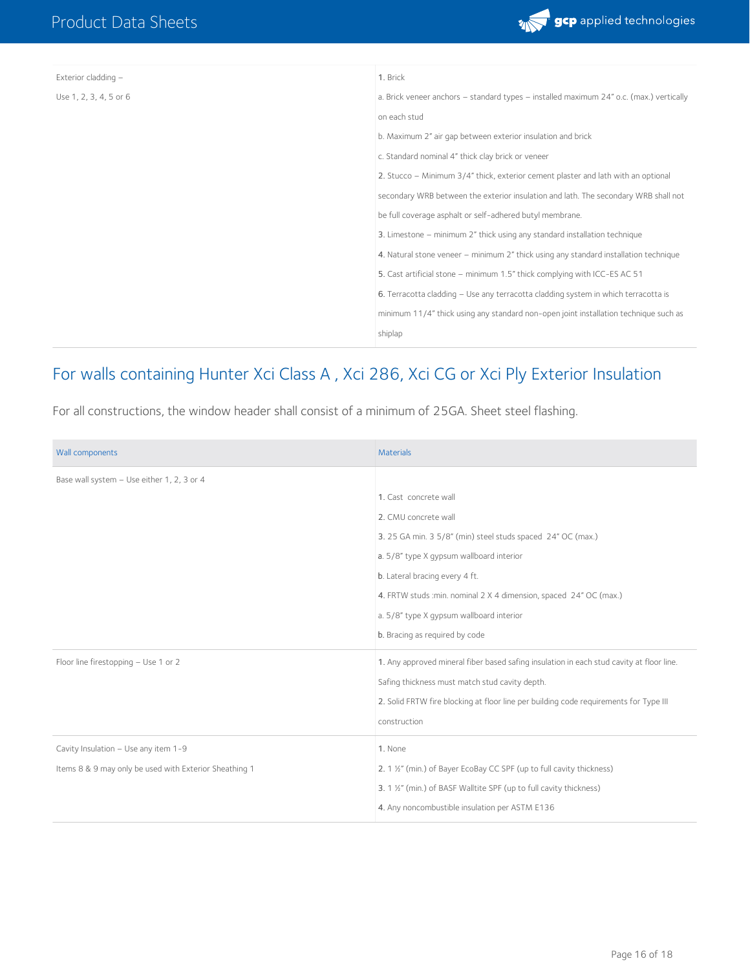

| Exterior cladding -    | 1. Brick                                                                                |
|------------------------|-----------------------------------------------------------------------------------------|
| Use 1, 2, 3, 4, 5 or 6 | a. Brick veneer anchors - standard types - installed maximum 24" o.c. (max.) vertically |
|                        | on each stud                                                                            |
|                        | b. Maximum 2" air gap between exterior insulation and brick                             |
|                        | c. Standard nominal 4" thick clay brick or veneer                                       |
|                        | 2. Stucco - Minimum 3/4" thick, exterior cement plaster and lath with an optional       |
|                        | secondary WRB between the exterior insulation and lath. The secondary WRB shall not     |
|                        | be full coverage asphalt or self-adhered butyl membrane.                                |
|                        | 3. Limestone – minimum 2" thick using any standard installation technique               |
|                        | 4. Natural stone veneer – minimum 2" thick using any standard installation technique    |
|                        | 5. Cast artificial stone - minimum 1.5" thick complying with ICC-ES AC 51               |
|                        | 6. Terracotta cladding - Use any terracotta cladding system in which terracotta is      |
|                        | minimum 11/4" thick using any standard non-open joint installation technique such as    |
|                        | shiplap                                                                                 |

### For walls containing Hunter Xci Class A , Xci 286, Xci CG or Xci Ply Exterior Insulation

For all constructions, the window header shall consist of a minimum of 25GA. Sheet steel flashing.

| Wall components                                        | <b>Materials</b>                                                                         |
|--------------------------------------------------------|------------------------------------------------------------------------------------------|
| Base wall system - Use either 1, 2, 3 or 4             |                                                                                          |
|                                                        | 1. Cast concrete wall                                                                    |
|                                                        | 2. CMU concrete wall                                                                     |
|                                                        | 3. 25 GA min. 3 5/8" (min) steel studs spaced 24" OC (max.)                              |
|                                                        | a. 5/8" type X gypsum wallboard interior                                                 |
|                                                        | b. Lateral bracing every 4 ft.                                                           |
|                                                        | 4. FRTW studs : min. nominal 2 X 4 dimension, spaced 24" OC (max.)                       |
|                                                        | a. 5/8" type X qypsum wallboard interior                                                 |
|                                                        | b. Bracing as required by code                                                           |
| Floor line firestopping - Use 1 or 2                   | 1. Any approved mineral fiber based safing insulation in each stud cavity at floor line. |
|                                                        | Safing thickness must match stud cavity depth.                                           |
|                                                        | 2. Solid FRTW fire blocking at floor line per building code requirements for Type III    |
|                                                        | construction                                                                             |
| Cavity Insulation - Use any item 1-9                   | 1. None                                                                                  |
| Items 8 & 9 may only be used with Exterior Sheathing 1 | 2. 1 1/2" (min.) of Bayer EcoBay CC SPF (up to full cavity thickness)                    |
|                                                        | 3. 1 1/2" (min.) of BASF Walltite SPF (up to full cavity thickness)                      |
|                                                        | 4. Any noncombustible insulation per ASTM E136                                           |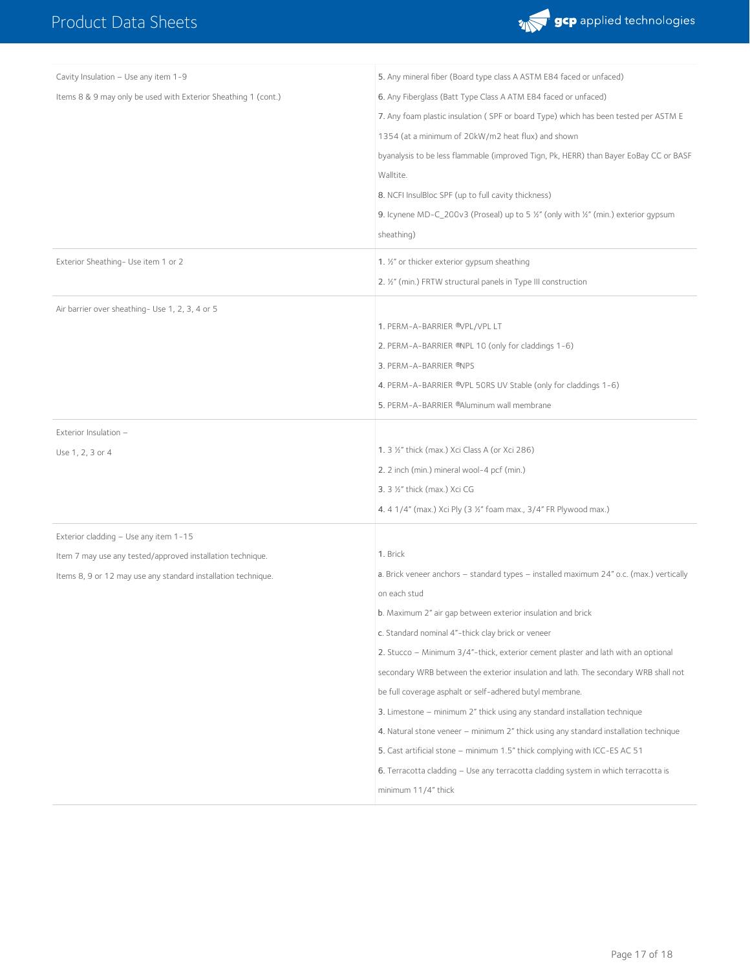

| Cavity Insulation - Use any item 1-9                           | 5. Any mineral fiber (Board type class A ASTM E84 faced or unfaced)                                       |
|----------------------------------------------------------------|-----------------------------------------------------------------------------------------------------------|
| Items 8 & 9 may only be used with Exterior Sheathing 1 (cont.) | 6. Any Fiberglass (Batt Type Class A ATM E84 faced or unfaced)                                            |
|                                                                | 7. Any foam plastic insulation (SPF or board Type) which has been tested per ASTM E                       |
|                                                                | 1354 (at a minimum of 20kW/m2 heat flux) and shown                                                        |
|                                                                | byanalysis to be less flammable (improved Tign, Pk, HERR) than Bayer EoBay CC or BASF                     |
|                                                                | Walltite.                                                                                                 |
|                                                                | 8. NCFI InsulBloc SPF (up to full cavity thickness)                                                       |
|                                                                | 9. Icynene MD-C_200v3 (Proseal) up to 5 $\frac{1}{2}$ " (only with $\frac{1}{2}$ " (min.) exterior gypsum |
|                                                                | sheathing)                                                                                                |
| Exterior Sheathing- Use item 1 or 2                            | 1. 1/2" or thicker exterior gypsum sheathing                                                              |
|                                                                | 2. 1/2" (min.) FRTW structural panels in Type III construction                                            |
| Air barrier over sheathing- Use 1, 2, 3, 4 or 5                |                                                                                                           |
|                                                                | 1. PERM-A-BARRIER ®VPL/VPL LT                                                                             |
|                                                                | 2. PERM-A-BARRIER ®NPL 10 (only for claddings 1-6)                                                        |
|                                                                | 3. PERM-A-BARRIER ®NPS                                                                                    |
|                                                                | 4. PERM-A-BARRIER ®VPL 50RS UV Stable (only for claddings 1-6)                                            |
|                                                                | 5. PERM-A-BARRIER ®Aluminum wall membrane                                                                 |
| Exterior Insulation -                                          |                                                                                                           |
| Use 1, 2, 3 or 4                                               | 1. 3 1/2" thick (max.) Xci Class A (or Xci 286)                                                           |
|                                                                | 2. 2 inch (min.) mineral wool-4 pcf (min.)                                                                |
|                                                                | 3. 3 1/2" thick (max.) Xci CG                                                                             |
|                                                                | 4. 4 1/4" (max.) Xci Ply (3 1/2" foam max., 3/4" FR Plywood max.)                                         |
| Exterior cladding - Use any item 1-15                          |                                                                                                           |
| Item 7 may use any tested/approved installation technique.     | 1. Brick                                                                                                  |
| Items 8, 9 or 12 may use any standard installation technique.  | a. Brick veneer anchors - standard types - installed maximum 24" o.c. (max.) vertically                   |
|                                                                | on each stud                                                                                              |
|                                                                | b. Maximum 2" air gap between exterior insulation and brick                                               |
|                                                                | c. Standard nominal 4"-thick clay brick or veneer                                                         |
|                                                                | 2. Stucco - Minimum 3/4"-thick, exterior cement plaster and lath with an optional                         |
|                                                                | secondary WRB between the exterior insulation and lath. The secondary WRB shall not                       |
|                                                                | be full coverage asphalt or self-adhered butyl membrane.                                                  |
|                                                                | 3. Limestone – minimum 2" thick using any standard installation technique                                 |
|                                                                | 4. Natural stone veneer – minimum 2" thick using any standard installation technique                      |
|                                                                | 5. Cast artificial stone - minimum 1.5" thick complying with ICC-ES AC 51                                 |
|                                                                | 6. Terracotta cladding - Use any terracotta cladding system in which terracotta is                        |
|                                                                | minimum 11/4" thick                                                                                       |